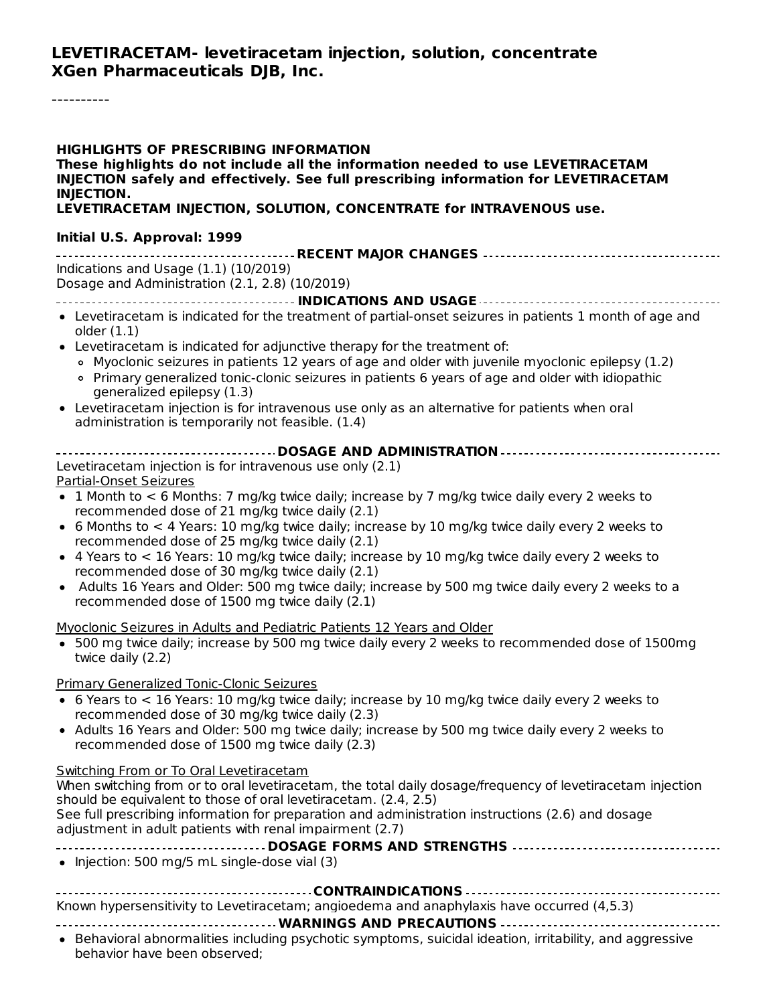#### **LEVETIRACETAM- levetiracetam injection, solution, concentrate XGen Pharmaceuticals DJB, Inc.**

----------

| <b>HIGHLIGHTS OF PRESCRIBING INFORMATION</b><br>These highlights do not include all the information needed to use LEVETIRACETAM<br>INJECTION safely and effectively. See full prescribing information for LEVETIRACETAM<br><b>INJECTION.</b><br>LEVETIRACETAM INJECTION, SOLUTION, CONCENTRATE for INTRAVENOUS use. |
|---------------------------------------------------------------------------------------------------------------------------------------------------------------------------------------------------------------------------------------------------------------------------------------------------------------------|
| Initial U.S. Approval: 1999                                                                                                                                                                                                                                                                                         |
|                                                                                                                                                                                                                                                                                                                     |
| Indications and Usage (1.1) (10/2019)<br>Dosage and Administration (2.1, 2.8) (10/2019)                                                                                                                                                                                                                             |
|                                                                                                                                                                                                                                                                                                                     |
| • Levetiracetam is indicated for the treatment of partial-onset seizures in patients 1 month of age and<br>older $(1.1)$                                                                                                                                                                                            |
| • Levetiracetam is indicated for adjunctive therapy for the treatment of:                                                                                                                                                                                                                                           |
| o Myoclonic seizures in patients 12 years of age and older with juvenile myoclonic epilepsy (1.2)<br>• Primary generalized tonic-clonic seizures in patients 6 years of age and older with idiopathic<br>generalized epilepsy (1.3)                                                                                 |
| • Levetiracetam injection is for intravenous use only as an alternative for patients when oral<br>administration is temporarily not feasible. (1.4)                                                                                                                                                                 |
|                                                                                                                                                                                                                                                                                                                     |
| Levetiracetam injection is for intravenous use only (2.1)<br>Partial-Onset Seizures                                                                                                                                                                                                                                 |
| • 1 Month to $<$ 6 Months: 7 mg/kg twice daily; increase by 7 mg/kg twice daily every 2 weeks to<br>recommended dose of 21 mg/kg twice daily (2.1)                                                                                                                                                                  |
| • 6 Months to < 4 Years: 10 mg/kg twice daily; increase by 10 mg/kg twice daily every 2 weeks to<br>recommended dose of 25 mg/kg twice daily (2.1)                                                                                                                                                                  |
| • 4 Years to $< 16$ Years: 10 mg/kg twice daily; increase by 10 mg/kg twice daily every 2 weeks to<br>recommended dose of 30 mg/kg twice daily (2.1)                                                                                                                                                                |
| • Adults 16 Years and Older: 500 mg twice daily; increase by 500 mg twice daily every 2 weeks to a<br>recommended dose of 1500 mg twice daily (2.1)                                                                                                                                                                 |
| Myoclonic Seizures in Adults and Pediatric Patients 12 Years and Older                                                                                                                                                                                                                                              |
| • 500 mg twice daily; increase by 500 mg twice daily every 2 weeks to recommended dose of 1500mg<br>twice daily (2.2)                                                                                                                                                                                               |
| <b>Primary Generalized Tonic-Clonic Seizures</b>                                                                                                                                                                                                                                                                    |
| • 6 Years to $<$ 16 Years: 10 mg/kg twice daily; increase by 10 mg/kg twice daily every 2 weeks to<br>recommended dose of 30 mg/kg twice daily (2.3)                                                                                                                                                                |
| • Adults 16 Years and Older: 500 mg twice daily; increase by 500 mg twice daily every 2 weeks to<br>recommended dose of 1500 mg twice daily (2.3)                                                                                                                                                                   |
| Switching From or To Oral Levetiracetam<br>When switching from or to oral levetiracetam, the total daily dosage/frequency of levetiracetam injection                                                                                                                                                                |
| should be equivalent to those of oral levetiracetam. (2.4, 2.5)<br>See full prescribing information for preparation and administration instructions (2.6) and dosage                                                                                                                                                |
| adjustment in adult patients with renal impairment (2.7)                                                                                                                                                                                                                                                            |
| • Injection: 500 mg/5 mL single-dose vial (3)                                                                                                                                                                                                                                                                       |
|                                                                                                                                                                                                                                                                                                                     |
| Known hypersensitivity to Levetiracetam; angioedema and anaphylaxis have occurred (4,5.3)                                                                                                                                                                                                                           |

#### **WARNINGS AND PRECAUTIONS**

Behavioral abnormalities including psychotic symptoms, suicidal ideation, irritability, and aggressive behavior have been observed;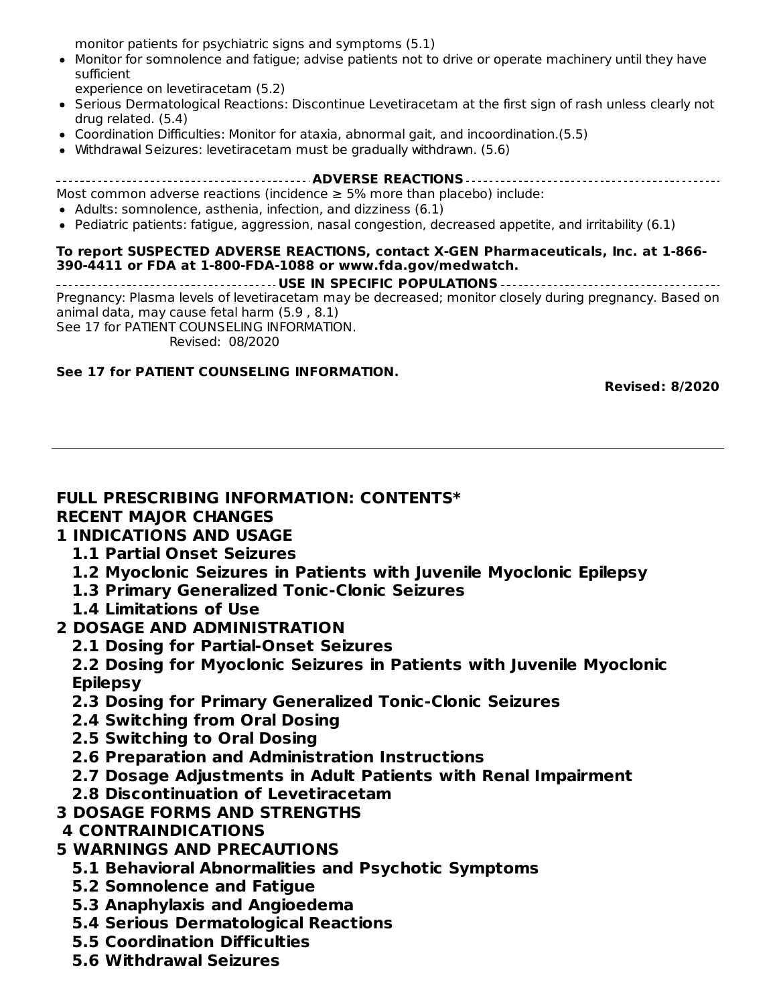behavior have been observed; monitor patients for psychiatric signs and symptoms (5.1)

- Monitor for somnolence and fatigue; advise patients not to drive or operate machinery until they have sufficient
	- experience on levetiracetam (5.2)
- Serious Dermatological Reactions: Discontinue Levetiracetam at the first sign of rash unless clearly not drug related. (5.4)
- Coordination Difficulties: Monitor for ataxia, abnormal gait, and incoordination.(5.5)
- Withdrawal Seizures: levetiracetam must be gradually withdrawn. (5.6)

**ADVERSE REACTIONS**

Most common adverse reactions (incidence  $\geq$  5% more than placebo) include:

- Adults: somnolence, asthenia, infection, and dizziness (6.1)
- Pediatric patients: fatigue, aggression, nasal congestion, decreased appetite, and irritability (6.1)

#### **To report SUSPECTED ADVERSE REACTIONS, contact X-GEN Pharmaceuticals, Inc. at 1-866- 390-4411 or FDA at 1-800-FDA-1088 or www.fda.gov/medwatch.**

**USE IN SPECIFIC POPULATIONS** Pregnancy: Plasma levels of levetiracetam may be decreased; monitor closely during pregnancy. Based on animal data, may cause fetal harm (5.9 , 8.1) See 17 for PATIENT COUNSELING INFORMATION.

Revised: 08/2020

#### **See 17 for PATIENT COUNSELING INFORMATION.**

**Revised: 8/2020**

#### **FULL PRESCRIBING INFORMATION: CONTENTS\* RECENT MAJOR CHANGES**

#### **1 INDICATIONS AND USAGE**

- **1.1 Partial Onset Seizures**
- **1.2 Myoclonic Seizures in Patients with Juvenile Myoclonic Epilepsy**
- **1.3 Primary Generalized Tonic-Clonic Seizures**
- **1.4 Limitations of Use**

#### **2 DOSAGE AND ADMINISTRATION**

**2.1 Dosing for Partial-Onset Seizures**

**2.2 Dosing for Myoclonic Seizures in Patients with Juvenile Myoclonic Epilepsy**

- **2.3 Dosing for Primary Generalized Tonic-Clonic Seizures**
- **2.4 Switching from Oral Dosing**
- **2.5 Switching to Oral Dosing**
- **2.6 Preparation and Administration Instructions**
- **2.7 Dosage Adjustments in Adult Patients with Renal Impairment**
- **2.8 Discontinuation of Levetiracetam**
- **3 DOSAGE FORMS AND STRENGTHS**

### **4 CONTRAINDICATIONS**

- **5 WARNINGS AND PRECAUTIONS**
	- **5.1 Behavioral Abnormalities and Psychotic Symptoms**
	- **5.2 Somnolence and Fatigue**
	- **5.3 Anaphylaxis and Angioedema**
	- **5.4 Serious Dermatological Reactions**
	- **5.5 Coordination Difficulties**
	- **5.6 Withdrawal Seizures**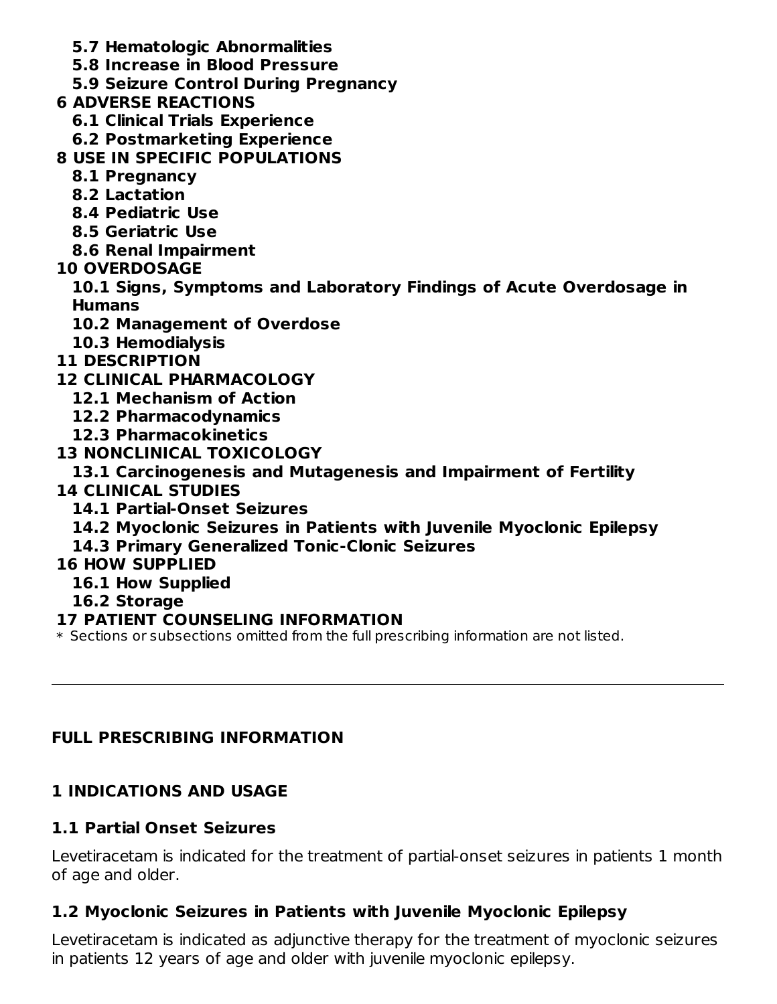- **5.7 Hematologic Abnormalities**
- **5.8 Increase in Blood Pressure**
- **5.9 Seizure Control During Pregnancy**
- **6 ADVERSE REACTIONS**
	- **6.1 Clinical Trials Experience**
	- **6.2 Postmarketing Experience**
- **8 USE IN SPECIFIC POPULATIONS**
	- **8.1 Pregnancy**
	- **8.2 Lactation**
	- **8.4 Pediatric Use**
	- **8.5 Geriatric Use**
	- **8.6 Renal Impairment**
- **10 OVERDOSAGE**
	- **10.1 Signs, Symptoms and Laboratory Findings of Acute Overdosage in Humans**
	- **10.2 Management of Overdose**
	- **10.3 Hemodialysis**
- **11 DESCRIPTION**
- **12 CLINICAL PHARMACOLOGY**
	- **12.1 Mechanism of Action**
	- **12.2 Pharmacodynamics**
	- **12.3 Pharmacokinetics**
- **13 NONCLINICAL TOXICOLOGY**
	- **13.1 Carcinogenesis and Mutagenesis and Impairment of Fertility**
- **14 CLINICAL STUDIES**
	- **14.1 Partial-Onset Seizures**
	- **14.2 Myoclonic Seizures in Patients with Juvenile Myoclonic Epilepsy**
	- **14.3 Primary Generalized Tonic-Clonic Seizures**

## **16 HOW SUPPLIED**

- **16.1 How Supplied**
- **16.2 Storage**

## **17 PATIENT COUNSELING INFORMATION**

 $\ast$  Sections or subsections omitted from the full prescribing information are not listed.

# **FULL PRESCRIBING INFORMATION**

# **1 INDICATIONS AND USAGE**

## **1.1 Partial Onset Seizures**

Levetiracetam is indicated for the treatment of partial-onset seizures in patients 1 month of age and older.

# **1.2 Myoclonic Seizures in Patients with Juvenile Myoclonic Epilepsy**

Levetiracetam is indicated as adjunctive therapy for the treatment of myoclonic seizures in patients 12 years of age and older with juvenile myoclonic epilepsy.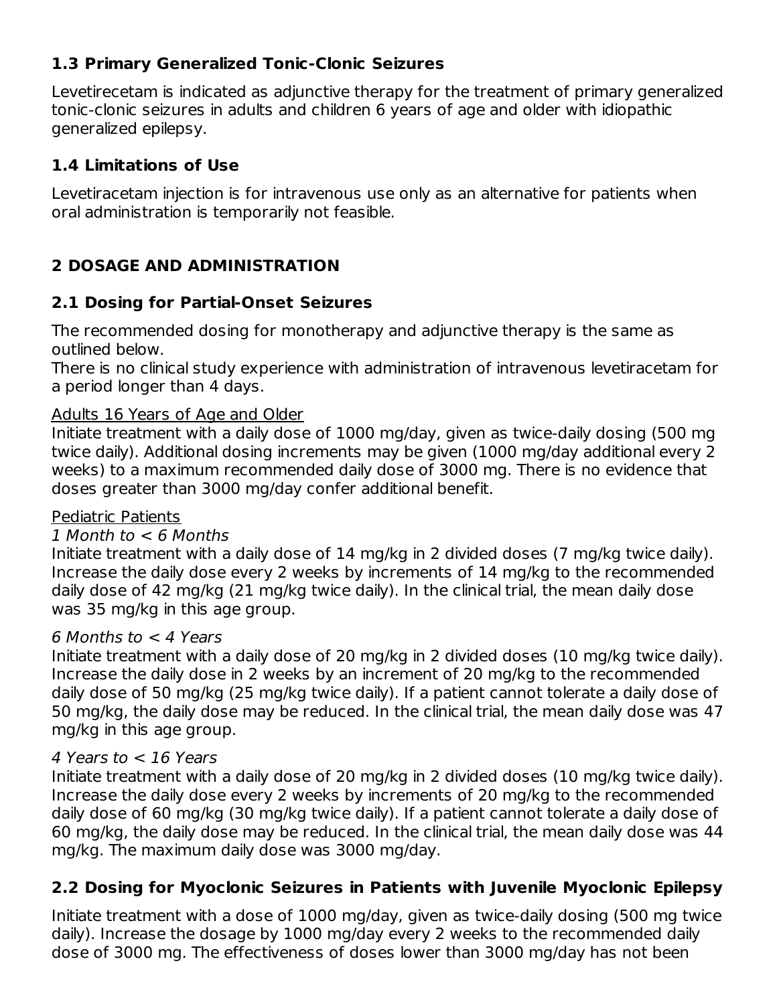### **1.3 Primary Generalized Tonic-Clonic Seizures**

Levetirecetam is indicated as adjunctive therapy for the treatment of primary generalized tonic-clonic seizures in adults and children 6 years of age and older with idiopathic generalized epilepsy.

## **1.4 Limitations of Use**

Levetiracetam injection is for intravenous use only as an alternative for patients when oral administration is temporarily not feasible.

# **2 DOSAGE AND ADMINISTRATION**

## **2.1 Dosing for Partial-Onset Seizures**

The recommended dosing for monotherapy and adjunctive therapy is the same as outlined below.

There is no clinical study experience with administration of intravenous levetiracetam for a period longer than 4 days.

### Adults 16 Years of Age and Older

Initiate treatment with a daily dose of 1000 mg/day, given as twice-daily dosing (500 mg twice daily). Additional dosing increments may be given (1000 mg/day additional every 2 weeks) to a maximum recommended daily dose of 3000 mg. There is no evidence that doses greater than 3000 mg/day confer additional benefit.

### Pediatric Patients

### 1 Month to < 6 Months

Initiate treatment with a daily dose of 14 mg/kg in 2 divided doses (7 mg/kg twice daily). Increase the daily dose every 2 weeks by increments of 14 mg/kg to the recommended daily dose of 42 mg/kg (21 mg/kg twice daily). In the clinical trial, the mean daily dose was 35 mg/kg in this age group.

### 6 Months to  $<$  4 Years

Initiate treatment with a daily dose of 20 mg/kg in 2 divided doses (10 mg/kg twice daily). Increase the daily dose in 2 weeks by an increment of 20 mg/kg to the recommended daily dose of 50 mg/kg (25 mg/kg twice daily). If a patient cannot tolerate a daily dose of 50 mg/kg, the daily dose may be reduced. In the clinical trial, the mean daily dose was 47 mg/kg in this age group.

### 4 Years to < 16 Years

Initiate treatment with a daily dose of 20 mg/kg in 2 divided doses (10 mg/kg twice daily). Increase the daily dose every 2 weeks by increments of 20 mg/kg to the recommended daily dose of 60 mg/kg (30 mg/kg twice daily). If a patient cannot tolerate a daily dose of 60 mg/kg, the daily dose may be reduced. In the clinical trial, the mean daily dose was 44 mg/kg. The maximum daily dose was 3000 mg/day.

## **2.2 Dosing for Myoclonic Seizures in Patients with Juvenile Myoclonic Epilepsy**

Initiate treatment with a dose of 1000 mg/day, given as twice-daily dosing (500 mg twice daily). Increase the dosage by 1000 mg/day every 2 weeks to the recommended daily dose of 3000 mg. The effectiveness of doses lower than 3000 mg/day has not been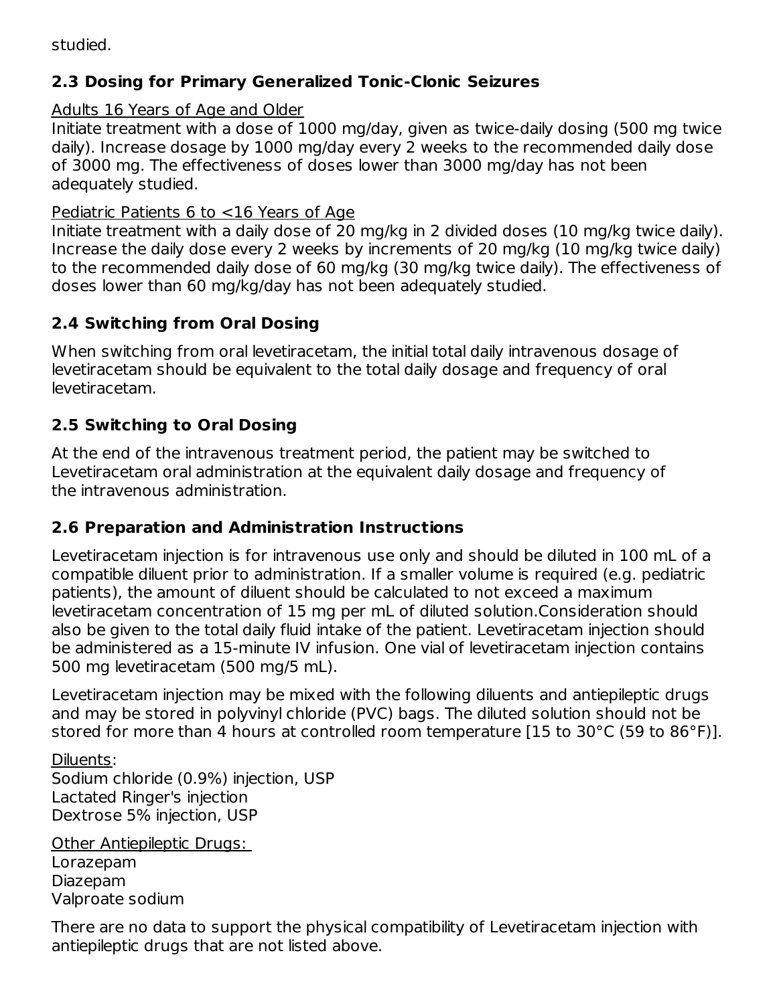studied.

## **2.3 Dosing for Primary Generalized Tonic-Clonic Seizures**

### Adults 16 Years of Age and Older

Initiate treatment with a dose of 1000 mg/day, given as twice-daily dosing (500 mg twice daily). Increase dosage by 1000 mg/day every 2 weeks to the recommended daily dose of 3000 mg. The effectiveness of doses lower than 3000 mg/day has not been adequately studied.

### Pediatric Patients 6 to <16 Years of Age

Initiate treatment with a daily dose of 20 mg/kg in 2 divided doses (10 mg/kg twice daily). Increase the daily dose every 2 weeks by increments of 20 mg/kg (10 mg/kg twice daily) to the recommended daily dose of 60 mg/kg (30 mg/kg twice daily). The effectiveness of doses lower than 60 mg/kg/day has not been adequately studied.

## **2.4 Switching from Oral Dosing**

When switching from oral levetiracetam, the initial total daily intravenous dosage of levetiracetam should be equivalent to the total daily dosage and frequency of oral levetiracetam.

## **2.5 Switching to Oral Dosing**

At the end of the intravenous treatment period, the patient may be switched to Levetiracetam oral administration at the equivalent daily dosage and frequency of the intravenous administration.

## **2.6 Preparation and Administration Instructions**

Levetiracetam injection is for intravenous use only and should be diluted in 100 mL of a compatible diluent prior to administration. If a smaller volume is required (e.g. pediatric patients), the amount of diluent should be calculated to not exceed a maximum levetiracetam concentration of 15 mg per mL of diluted solution.Consideration should also be given to the total daily fluid intake of the patient. Levetiracetam injection should be administered as a 15-minute IV infusion. One vial of levetiracetam injection contains 500 mg levetiracetam (500 mg/5 mL).

Levetiracetam injection may be mixed with the following diluents and antiepileptic drugs and may be stored in polyvinyl chloride (PVC) bags. The diluted solution should not be stored for more than 4 hours at controlled room temperature [15 to 30°C (59 to 86°F)].

Diluents:

Sodium chloride (0.9%) injection, USP Lactated Ringer's injection Dextrose 5% injection, USP

Other Antiepileptic Drugs: Lorazepam Diazepam Valproate sodium

There are no data to support the physical compatibility of Levetiracetam injection with antiepileptic drugs that are not listed above.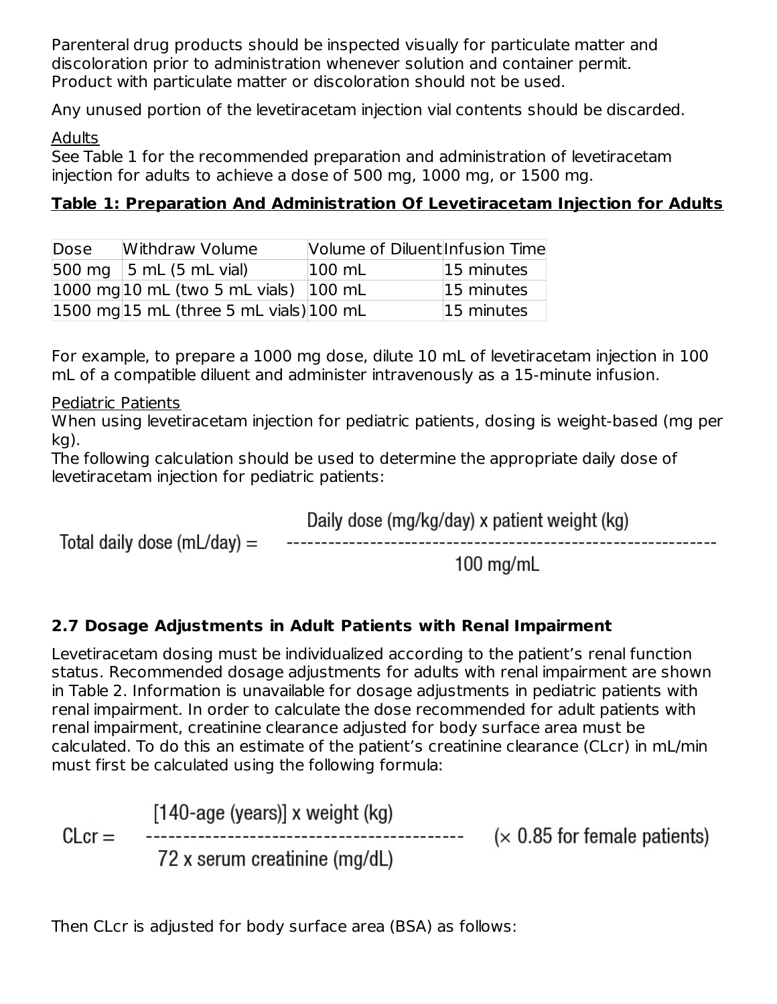Parenteral drug products should be inspected visually for particulate matter and discoloration prior to administration whenever solution and container permit. Product with particulate matter or discoloration should not be used.

Any unused portion of the levetiracetam injection vial contents should be discarded.

### Adults

See Table 1 for the recommended preparation and administration of levetiracetam injection for adults to achieve a dose of 500 mg, 1000 mg, or 1500 mg.

# **Table 1: Preparation And Administration Of Levetiracetam Injection for Adults**

| Dose | Withdraw Volume                                                        | Volume of Diluent Infusion Time |            |
|------|------------------------------------------------------------------------|---------------------------------|------------|
|      | $ 500 \text{ mg}  5 \text{ mL} (5 \text{ mL} \text{ vial})$            | $100$ mL                        | 15 minutes |
|      | $ 1000 \text{ mg} 10 \text{ mL}$ (two 5 mL vials) $ 100 \text{ mL} $   |                                 | 15 minutes |
|      | $ 1500 \text{ mg} 15 \text{ mL}$ (three 5 mL vials) $ 100 \text{ mL} $ |                                 | 15 minutes |

For example, to prepare a 1000 mg dose, dilute 10 mL of levetiracetam injection in 100 mL of a compatible diluent and administer intravenously as a 15-minute infusion.

Pediatric Patients

When using levetiracetam injection for pediatric patients, dosing is weight-based (mg per kg).

The following calculation should be used to determine the appropriate daily dose of levetiracetam injection for pediatric patients:

Daily dose (mg/kg/day) x patient weight (kg) Total daily dose (mL/day)  $=$ 

 $100$  mg/mL

## **2.7 Dosage Adjustments in Adult Patients with Renal Impairment**

Levetiracetam dosing must be individualized according to the patient's renal function status. Recommended dosage adjustments for adults with renal impairment are shown in Table 2. Information is unavailable for dosage adjustments in pediatric patients with renal impairment. In order to calculate the dose recommended for adult patients with renal impairment, creatinine clearance adjusted for body surface area must be calculated. To do this an estimate of the patient's creatinine clearance (CLcr) in mL/min must first be calculated using the following formula:

 $[140$ -age (years)] x weight (kg)  $------$  ( $\times$  0.85 for female patients)  $CLcr =$ 72 x serum creatinine (mg/dL)

Then CLcr is adjusted for body surface area (BSA) as follows: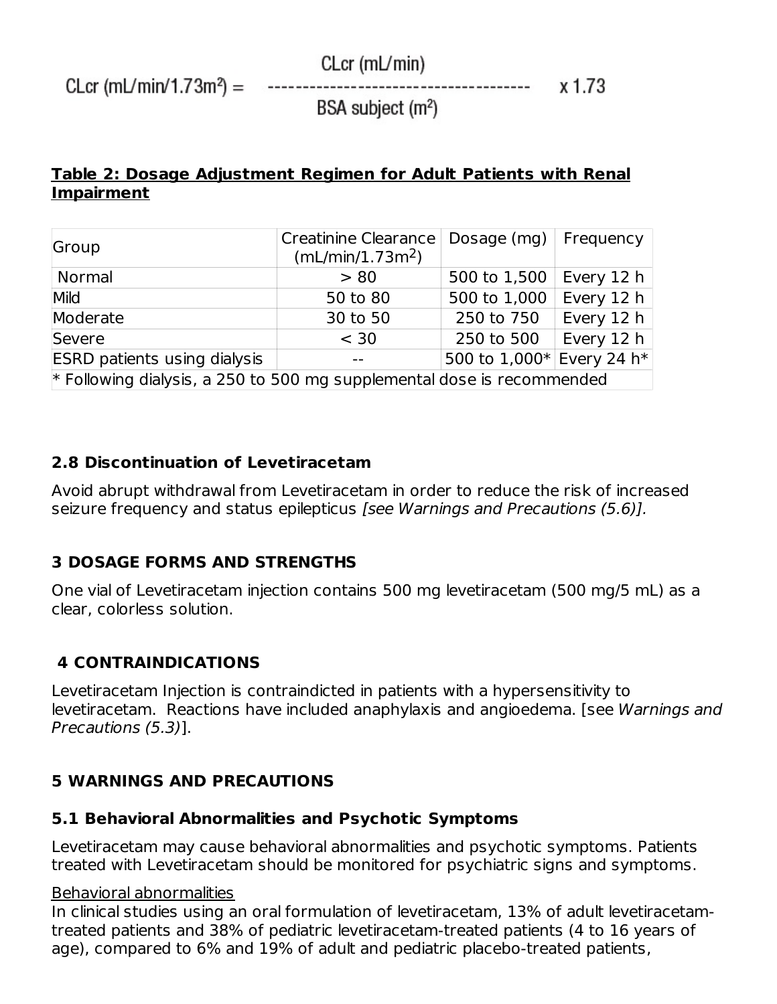$CLcr$  (mL/min/1.73m<sup>2</sup>) =

 $CLcr$  (m $L/min$ )

BSA subject  $(m^2)$ 

 $x 1.73$ 

------------

**Table 2: Dosage Adjustment Regimen for Adult Patients with Renal Impairment**

| Group                                                                    | <b>Creatinine Clearance</b><br>(mL/min/1.73m <sup>2</sup> ) | Dosage $(mq)$             | Frequency    |
|--------------------------------------------------------------------------|-------------------------------------------------------------|---------------------------|--------------|
| <b>Normal</b>                                                            | > 80                                                        | 500 to 1,500              | Every 12 $h$ |
| Mild                                                                     | 50 to 80                                                    | 500 to 1,000              | Every 12 $h$ |
| Moderate                                                                 | 30 to 50                                                    | 250 to 750                | Every 12 $h$ |
| Severe                                                                   | < 30                                                        | 250 to 500                | Every 12 h   |
| <b>ESRD patients using dialysis</b>                                      |                                                             | 500 to 1,000* Every 24 h* |              |
| $*$ Following dialysis, a 250 to 500 mg supplemental dose is recommended |                                                             |                           |              |

### **2.8 Discontinuation of Levetiracetam**

Avoid abrupt withdrawal from Levetiracetam in order to reduce the risk of increased seizure frequency and status epilepticus [see Warnings and Precautions (5.6)].

### **3 DOSAGE FORMS AND STRENGTHS**

One vial of Levetiracetam injection contains 500 mg levetiracetam (500 mg/5 mL) as a clear, colorless solution.

### **4 CONTRAINDICATIONS**

Levetiracetam Injection is contraindicted in patients with a hypersensitivity to levetiracetam. Reactions have included anaphylaxis and angioedema. [see Warnings and Precautions (5.3)].

### **5 WARNINGS AND PRECAUTIONS**

### **5.1 Behavioral Abnormalities and Psychotic Symptoms**

Levetiracetam may cause behavioral abnormalities and psychotic symptoms. Patients treated with Levetiracetam should be monitored for psychiatric signs and symptoms.

#### Behavioral abnormalities

In clinical studies using an oral formulation of levetiracetam, 13% of adult levetiracetamtreated patients and 38% of pediatric levetiracetam-treated patients (4 to 16 years of age), compared to 6% and 19% of adult and pediatric placebo-treated patients,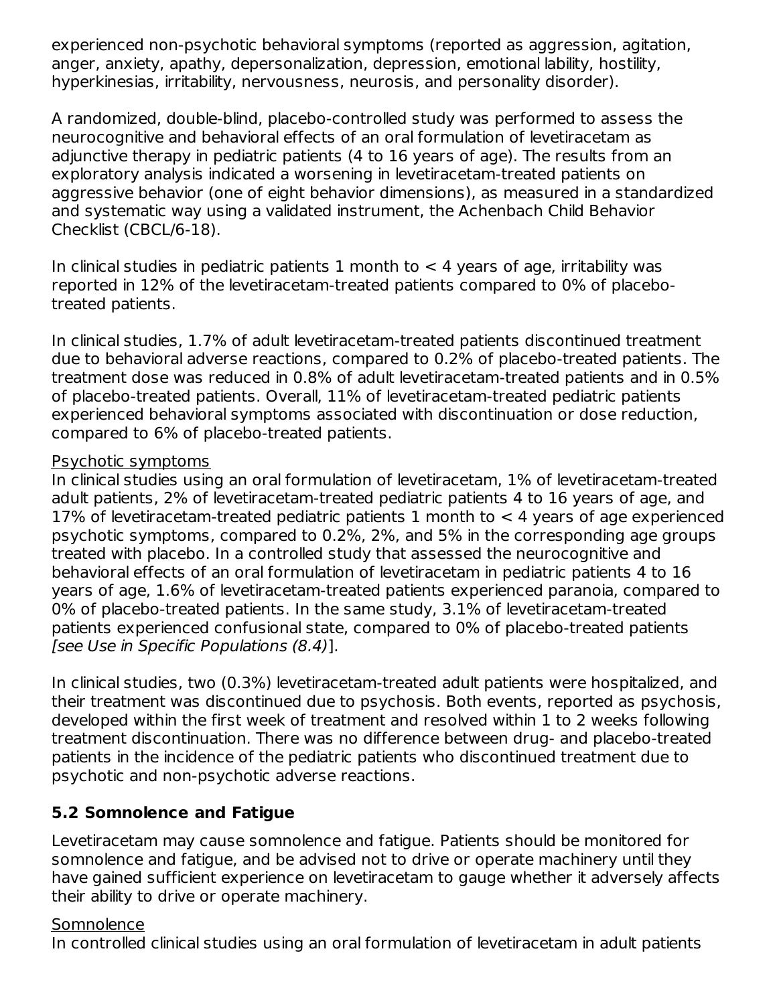experienced non-psychotic behavioral symptoms (reported as aggression, agitation, anger, anxiety, apathy, depersonalization, depression, emotional lability, hostility, hyperkinesias, irritability, nervousness, neurosis, and personality disorder).

A randomized, double-blind, placebo-controlled study was performed to assess the neurocognitive and behavioral effects of an oral formulation of levetiracetam as adjunctive therapy in pediatric patients (4 to 16 years of age). The results from an exploratory analysis indicated a worsening in levetiracetam-treated patients on aggressive behavior (one of eight behavior dimensions), as measured in a standardized and systematic way using a validated instrument, the Achenbach Child Behavior Checklist (CBCL/6-18).

In clinical studies in pediatric patients 1 month to  $<$  4 years of age, irritability was reported in 12% of the levetiracetam-treated patients compared to 0% of placebotreated patients.

In clinical studies, 1.7% of adult levetiracetam-treated patients discontinued treatment due to behavioral adverse reactions, compared to 0.2% of placebo-treated patients. The treatment dose was reduced in 0.8% of adult levetiracetam-treated patients and in 0.5% of placebo-treated patients. Overall, 11% of levetiracetam-treated pediatric patients experienced behavioral symptoms associated with discontinuation or dose reduction, compared to 6% of placebo-treated patients.

#### Psychotic symptoms

In clinical studies using an oral formulation of levetiracetam, 1% of levetiracetam-treated adult patients, 2% of levetiracetam-treated pediatric patients 4 to 16 years of age, and 17% of levetiracetam-treated pediatric patients 1 month to < 4 years of age experienced psychotic symptoms, compared to 0.2%, 2%, and 5% in the corresponding age groups treated with placebo. In a controlled study that assessed the neurocognitive and behavioral effects of an oral formulation of levetiracetam in pediatric patients 4 to 16 years of age, 1.6% of levetiracetam-treated patients experienced paranoia, compared to 0% of placebo-treated patients. In the same study, 3.1% of levetiracetam-treated patients experienced confusional state, compared to 0% of placebo-treated patients [see Use in Specific Populations (8.4)].

In clinical studies, two (0.3%) levetiracetam-treated adult patients were hospitalized, and their treatment was discontinued due to psychosis. Both events, reported as psychosis, developed within the first week of treatment and resolved within 1 to 2 weeks following treatment discontinuation. There was no difference between drug- and placebo-treated patients in the incidence of the pediatric patients who discontinued treatment due to psychotic and non-psychotic adverse reactions.

### **5.2 Somnolence and Fatigue**

Levetiracetam may cause somnolence and fatigue. Patients should be monitored for somnolence and fatigue, and be advised not to drive or operate machinery until they have gained sufficient experience on levetiracetam to gauge whether it adversely affects their ability to drive or operate machinery.

### Somnolence

In controlled clinical studies using an oral formulation of levetiracetam in adult patients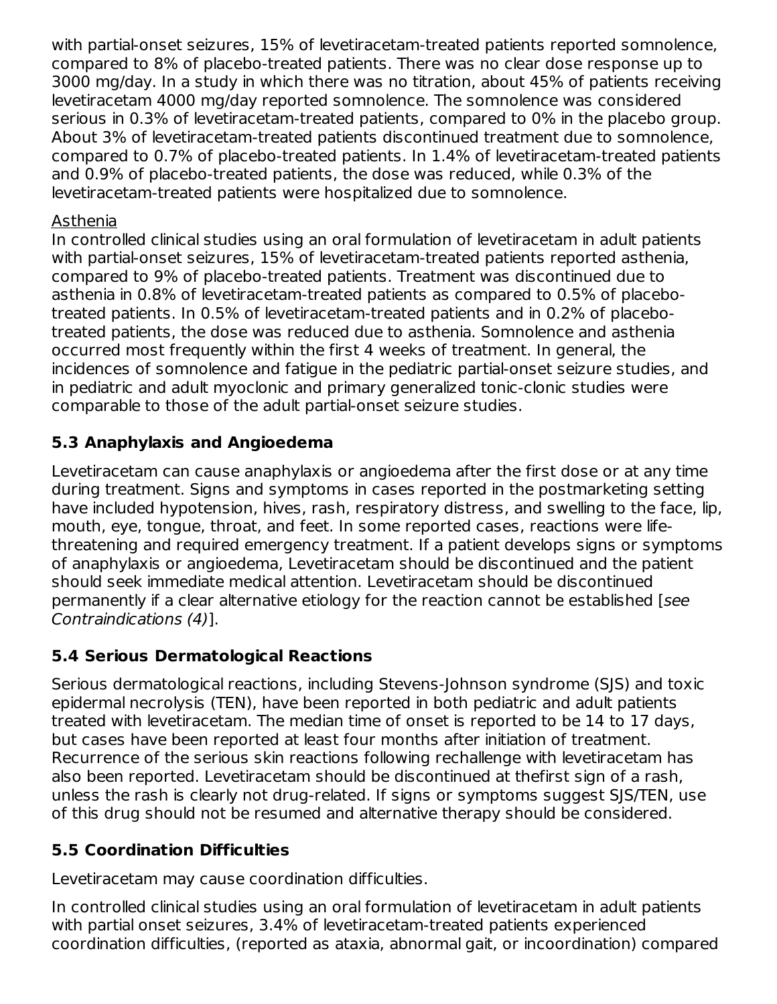with partial-onset seizures, 15% of levetiracetam-treated patients reported somnolence, compared to 8% of placebo-treated patients. There was no clear dose response up to 3000 mg/day. In a study in which there was no titration, about 45% of patients receiving levetiracetam 4000 mg/day reported somnolence. The somnolence was considered serious in 0.3% of levetiracetam-treated patients, compared to 0% in the placebo group. About 3% of levetiracetam-treated patients discontinued treatment due to somnolence, compared to 0.7% of placebo-treated patients. In 1.4% of levetiracetam-treated patients and 0.9% of placebo-treated patients, the dose was reduced, while 0.3% of the levetiracetam-treated patients were hospitalized due to somnolence.

### Asthenia

In controlled clinical studies using an oral formulation of levetiracetam in adult patients with partial-onset seizures, 15% of levetiracetam-treated patients reported asthenia, compared to 9% of placebo-treated patients. Treatment was discontinued due to asthenia in 0.8% of levetiracetam-treated patients as compared to 0.5% of placebotreated patients. In 0.5% of levetiracetam-treated patients and in 0.2% of placebotreated patients, the dose was reduced due to asthenia. Somnolence and asthenia occurred most frequently within the first 4 weeks of treatment. In general, the incidences of somnolence and fatigue in the pediatric partial-onset seizure studies, and in pediatric and adult myoclonic and primary generalized tonic-clonic studies were comparable to those of the adult partial-onset seizure studies.

## **5.3 Anaphylaxis and Angioedema**

Levetiracetam can cause anaphylaxis or angioedema after the first dose or at any time during treatment. Signs and symptoms in cases reported in the postmarketing setting have included hypotension, hives, rash, respiratory distress, and swelling to the face, lip, mouth, eye, tongue, throat, and feet. In some reported cases, reactions were lifethreatening and required emergency treatment. If a patient develops signs or symptoms of anaphylaxis or angioedema, Levetiracetam should be discontinued and the patient should seek immediate medical attention. Levetiracetam should be discontinued permanently if a clear alternative etiology for the reaction cannot be established [see Contraindications (4)].

### **5.4 Serious Dermatological Reactions**

Serious dermatological reactions, including Stevens-Johnson syndrome (SJS) and toxic epidermal necrolysis (TEN), have been reported in both pediatric and adult patients treated with levetiracetam. The median time of onset is reported to be 14 to 17 days, but cases have been reported at least four months after initiation of treatment. Recurrence of the serious skin reactions following rechallenge with levetiracetam has also been reported. Levetiracetam should be discontinued at thefirst sign of a rash, unless the rash is clearly not drug-related. If signs or symptoms suggest SJS/TEN, use of this drug should not be resumed and alternative therapy should be considered.

### **5.5 Coordination Difficulties**

Levetiracetam may cause coordination difficulties.

In controlled clinical studies using an oral formulation of levetiracetam in adult patients with partial onset seizures, 3.4% of levetiracetam-treated patients experienced coordination difficulties, (reported as ataxia, abnormal gait, or incoordination) compared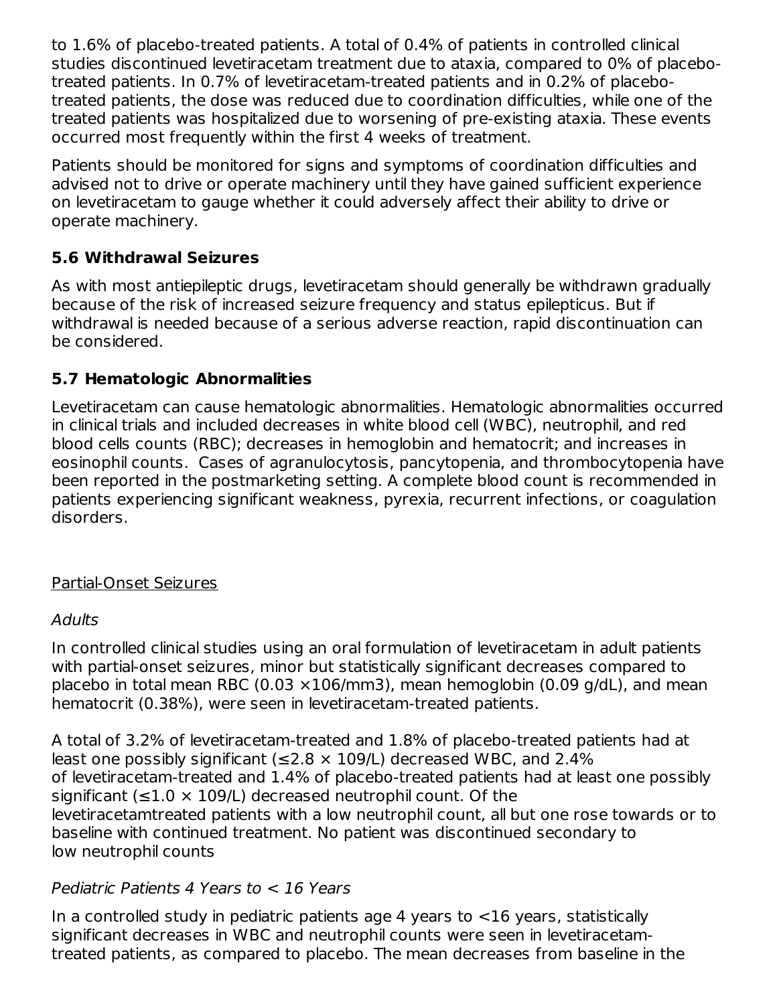to 1.6% of placebo-treated patients. A total of 0.4% of patients in controlled clinical studies discontinued levetiracetam treatment due to ataxia, compared to 0% of placebotreated patients. In 0.7% of levetiracetam-treated patients and in 0.2% of placebotreated patients, the dose was reduced due to coordination difficulties, while one of the treated patients was hospitalized due to worsening of pre-existing ataxia. These events occurred most frequently within the first 4 weeks of treatment.

Patients should be monitored for signs and symptoms of coordination difficulties and advised not to drive or operate machinery until they have gained sufficient experience on levetiracetam to gauge whether it could adversely affect their ability to drive or operate machinery.

### **5.6 Withdrawal Seizures**

As with most antiepileptic drugs, levetiracetam should generally be withdrawn gradually because of the risk of increased seizure frequency and status epilepticus. But if withdrawal is needed because of a serious adverse reaction, rapid discontinuation can be considered.

### **5.7 Hematologic Abnormalities**

Levetiracetam can cause hematologic abnormalities. Hematologic abnormalities occurred in clinical trials and included decreases in white blood cell (WBC), neutrophil, and red blood cells counts (RBC); decreases in hemoglobin and hematocrit; and increases in eosinophil counts. Cases of agranulocytosis, pancytopenia, and thrombocytopenia have been reported in the postmarketing setting. A complete blood count is recommended in patients experiencing significant weakness, pyrexia, recurrent infections, or coagulation disorders.

### Partial-Onset Seizures

### **Adults**

In controlled clinical studies using an oral formulation of levetiracetam in adult patients with partial-onset seizures, minor but statistically significant decreases compared to placebo in total mean RBC (0.03  $\times$ 106/mm3), mean hemoglobin (0.09 g/dL), and mean hematocrit (0.38%), were seen in levetiracetam-treated patients.

A total of 3.2% of levetiracetam-treated and 1.8% of placebo-treated patients had at least one possibly significant ( $\leq$ 2.8  $\times$  109/L) decreased WBC, and 2.4% of levetiracetam-treated and 1.4% of placebo-treated patients had at least one possibly significant ( $\leq$ 1.0  $\times$  109/L) decreased neutrophil count. Of the levetiracetamtreated patients with a low neutrophil count, all but one rose towards or to baseline with continued treatment. No patient was discontinued secondary to low neutrophil counts

### Pediatric Patients 4 Years to < 16 Years

In a controlled study in pediatric patients age 4 years to <16 years, statistically significant decreases in WBC and neutrophil counts were seen in levetiracetamtreated patients, as compared to placebo. The mean decreases from baseline in the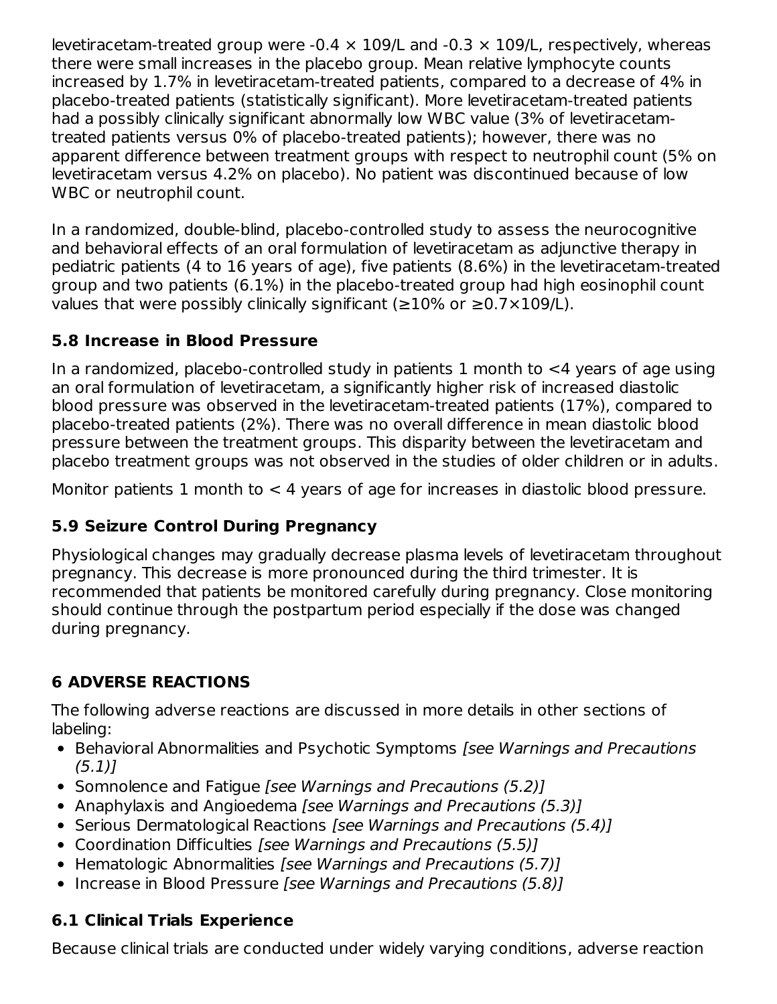levetiracetam-treated group were -0.4  $\times$  109/L and -0.3  $\times$  109/L, respectively, whereas there were small increases in the placebo group. Mean relative lymphocyte counts increased by 1.7% in levetiracetam-treated patients, compared to a decrease of 4% in placebo-treated patients (statistically significant). More levetiracetam-treated patients had a possibly clinically significant abnormally low WBC value (3% of levetiracetamtreated patients versus 0% of placebo-treated patients); however, there was no apparent difference between treatment groups with respect to neutrophil count (5% on levetiracetam versus 4.2% on placebo). No patient was discontinued because of low WBC or neutrophil count.

In a randomized, double-blind, placebo-controlled study to assess the neurocognitive and behavioral effects of an oral formulation of levetiracetam as adjunctive therapy in pediatric patients (4 to 16 years of age), five patients (8.6%) in the levetiracetam-treated group and two patients (6.1%) in the placebo-treated group had high eosinophil count values that were possibly clinically significant ( $\geq$ 10% or  $\geq$ 0.7×109/L).

## **5.8 Increase in Blood Pressure**

In a randomized, placebo-controlled study in patients 1 month to  $\leq 4$  years of age using an oral formulation of levetiracetam, a significantly higher risk of increased diastolic blood pressure was observed in the levetiracetam-treated patients (17%), compared to placebo-treated patients (2%). There was no overall difference in mean diastolic blood pressure between the treatment groups. This disparity between the levetiracetam and placebo treatment groups was not observed in the studies of older children or in adults.

Monitor patients 1 month to  $<$  4 years of age for increases in diastolic blood pressure.

## **5.9 Seizure Control During Pregnancy**

Physiological changes may gradually decrease plasma levels of levetiracetam throughout pregnancy. This decrease is more pronounced during the third trimester. It is recommended that patients be monitored carefully during pregnancy. Close monitoring should continue through the postpartum period especially if the dose was changed during pregnancy.

# **6 ADVERSE REACTIONS**

The following adverse reactions are discussed in more details in other sections of labeling:

- Behavioral Abnormalities and Psychotic Symptoms [see Warnings and Precautions (5.1)]
- Somnolence and Fatigue *[see Warnings and Precautions (5.2)]*
- Anaphylaxis and Angioedema [see Warnings and Precautions (5.3)]
- Serious Dermatological Reactions [see Warnings and Precautions (5.4)]
- Coordination Difficulties [see Warnings and Precautions (5.5)]
- Hematologic Abnormalities [see Warnings and Precautions (5.7)]
- Increase in Blood Pressure [see Warnings and Precautions (5.8)]

## **6.1 Clinical Trials Experience**

Because clinical trials are conducted under widely varying conditions, adverse reaction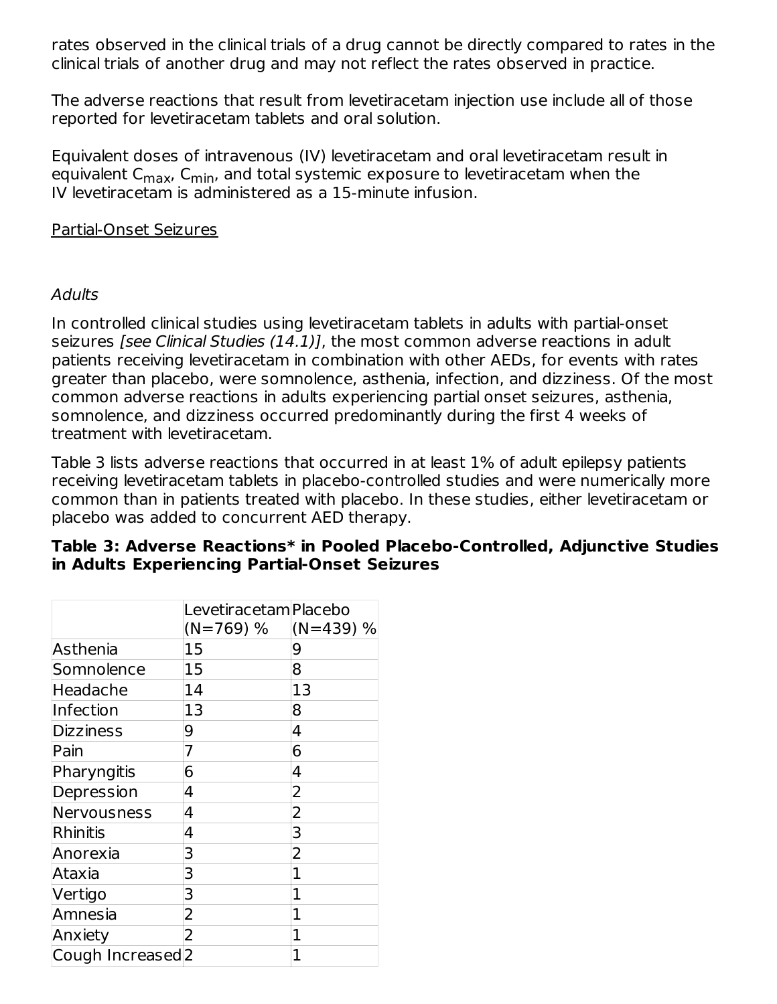rates observed in the clinical trials of a drug cannot be directly compared to rates in the clinical trials of another drug and may not reflect the rates observed in practice.

The adverse reactions that result from levetiracetam injection use include all of those reported for levetiracetam tablets and oral solution.

Equivalent doses of intravenous (IV) levetiracetam and oral levetiracetam result in equivalent C<sub>max</sub>, C<sub>min</sub>, and total systemic exposure to levetiracetam when the IV levetiracetam is administered as a 15-minute infusion.

#### Partial-Onset Seizures

### **Adults**

In controlled clinical studies using levetiracetam tablets in adults with partial-onset seizures *[see Clinical Studies (14.1)]*, the most common adverse reactions in adult patients receiving levetiracetam in combination with other AEDs, for events with rates greater than placebo, were somnolence, asthenia, infection, and dizziness. Of the most common adverse reactions in adults experiencing partial onset seizures, asthenia, somnolence, and dizziness occurred predominantly during the first 4 weeks of treatment with levetiracetam.

Table 3 lists adverse reactions that occurred in at least 1% of adult epilepsy patients receiving levetiracetam tablets in placebo-controlled studies and were numerically more common than in patients treated with placebo. In these studies, either levetiracetam or placebo was added to concurrent AED therapy.

| Table 3: Adverse Reactions* in Pooled Placebo-Controlled, Adjunctive Studies |
|------------------------------------------------------------------------------|
| in Adults Experiencing Partial-Onset Seizures                                |

|                              | Levetiracetam Placebo |                |
|------------------------------|-----------------------|----------------|
|                              | $(N=769)$ %           | $(N=439)$ %    |
| Asthenia                     | 15                    | 9              |
| Somnolence                   | 15                    | 8              |
| Headache                     | 14                    | 13             |
| Infection                    | 13                    | 8              |
| <b>Dizziness</b>             | 9                     | 4              |
| Pain                         | 7                     | 6              |
| Pharyngitis                  | 6                     | 4              |
| Depression                   | 4                     | $\overline{2}$ |
| Nervousness                  | 4                     | 2              |
| <b>Rhinitis</b>              | 4                     | 3              |
| Anorexia                     | 3                     | $\overline{2}$ |
| Ataxia                       | 3                     | 1              |
| Vertigo                      | 3                     | 1              |
| Amnesia                      | 2                     | 1              |
| Anxiety                      | 2                     | 1              |
| Cough Increased <sub>2</sub> |                       | $\mathbf{1}$   |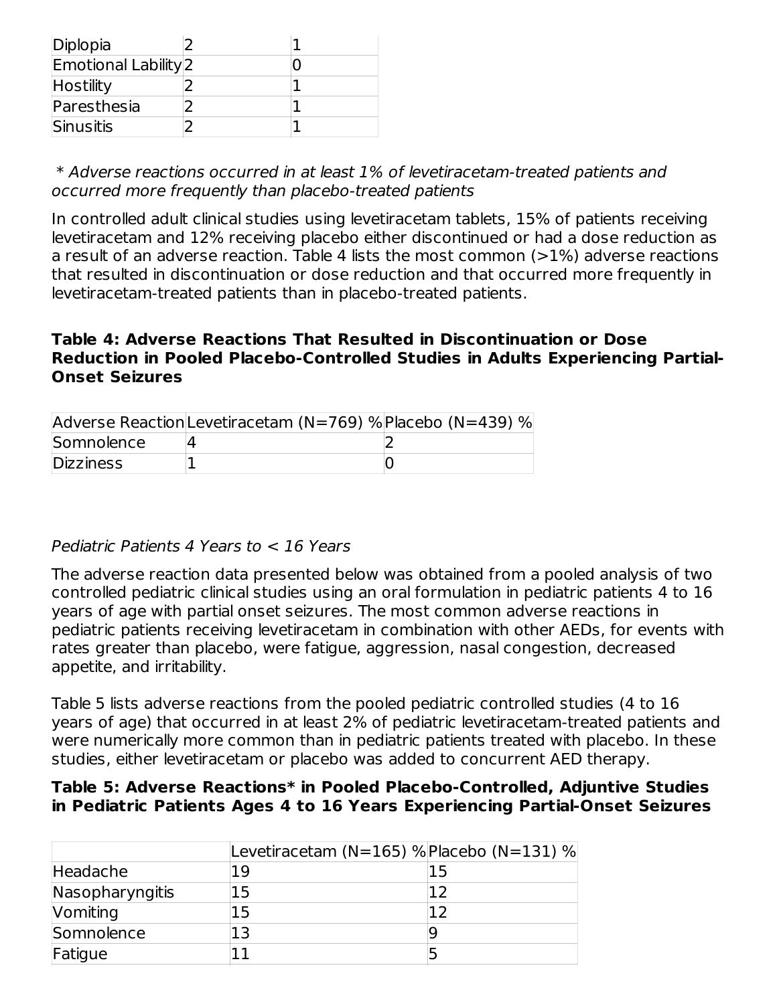| Diplopia                    |  |
|-----------------------------|--|
| <b>Emotional Lability</b> 2 |  |
| Hostility                   |  |
| Paresthesia                 |  |
| Sinusitis                   |  |

\* Adverse reactions occurred in at least 1% of levetiracetam-treated patients and occurred more frequently than placebo-treated patients

In controlled adult clinical studies using levetiracetam tablets, 15% of patients receiving levetiracetam and 12% receiving placebo either discontinued or had a dose reduction as a result of an adverse reaction. Table 4 lists the most common  $(>1%)$  adverse reactions that resulted in discontinuation or dose reduction and that occurred more frequently in levetiracetam-treated patients than in placebo-treated patients.

### **Table 4: Adverse Reactions That Resulted in Discontinuation or Dose Reduction in Pooled Placebo-Controlled Studies in Adults Experiencing Partial-Onset Seizures**

|                  | Adverse Reaction Levetiracetam (N=769) % Placebo (N=439) % |  |
|------------------|------------------------------------------------------------|--|
| Somnolence       |                                                            |  |
| <b>Dizziness</b> |                                                            |  |

### Pediatric Patients 4 Years to < 16 Years

The adverse reaction data presented below was obtained from a pooled analysis of two controlled pediatric clinical studies using an oral formulation in pediatric patients 4 to 16 years of age with partial onset seizures. The most common adverse reactions in pediatric patients receiving levetiracetam in combination with other AEDs, for events with rates greater than placebo, were fatigue, aggression, nasal congestion, decreased appetite, and irritability.

Table 5 lists adverse reactions from the pooled pediatric controlled studies (4 to 16 years of age) that occurred in at least 2% of pediatric levetiracetam-treated patients and were numerically more common than in pediatric patients treated with placebo. In these studies, either levetiracetam or placebo was added to concurrent AED therapy.

#### **Table 5: Adverse Reactions\* in Pooled Placebo-Controlled, Adjuntive Studies in Pediatric Patients Ages 4 to 16 Years Experiencing Partial-Onset Seizures**

| 19 | 15                                        |
|----|-------------------------------------------|
| 15 |                                           |
| 15 |                                           |
| 13 |                                           |
|    |                                           |
|    | Levetiracetam (N=165) % Placebo (N=131) % |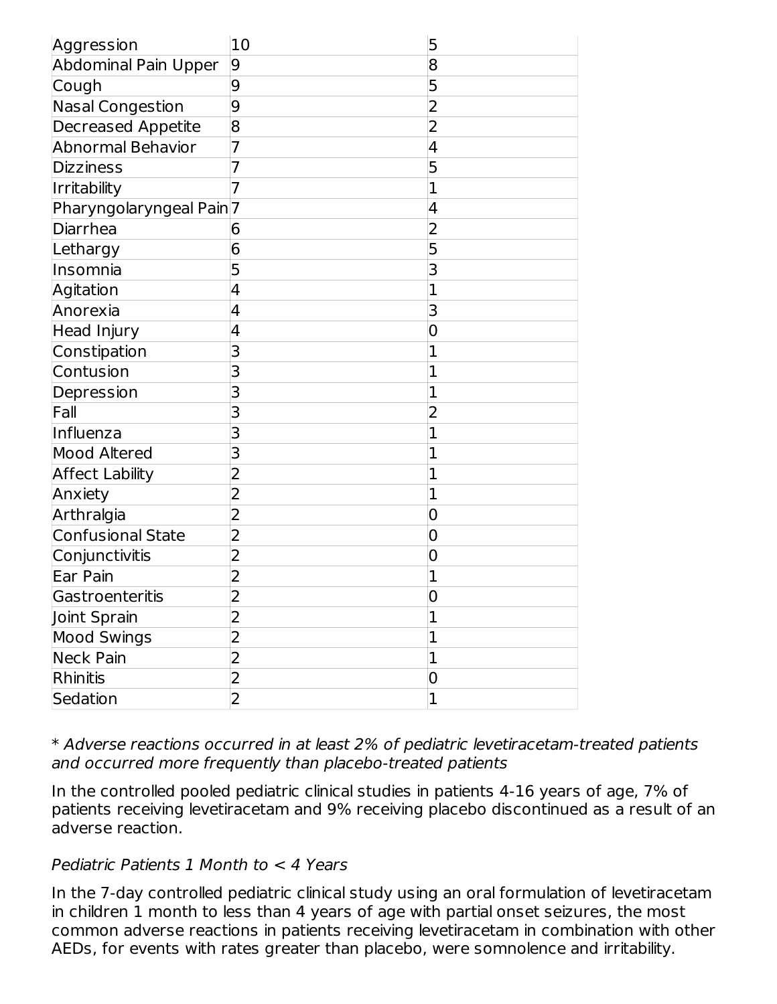| Aggression                          | 10                      | 5              |
|-------------------------------------|-------------------------|----------------|
| <b>Abdominal Pain Upper</b>         | 9                       | 8              |
| Cough                               | 9                       | 5              |
| Nasal Congestion                    | 9                       | $\overline{2}$ |
| <b>Decreased Appetite</b>           | 8                       | $\overline{2}$ |
| <b>Abnormal Behavior</b>            | 7                       | 4              |
| <b>Dizziness</b>                    | 7                       | 5              |
| Irritability                        | 7                       | 1              |
| Pharyngolaryngeal Pain <sup>7</sup> |                         | 4              |
| Diarrhea                            | 6                       | $\overline{2}$ |
| Lethargy                            | 6                       | 5              |
| Insomnia                            | 5                       | 3              |
| Agitation                           | 4                       | 1              |
| Anorexia                            | 4                       | 3              |
| <b>Head Injury</b>                  | 4                       | 0              |
| Constipation                        | 3                       | 1              |
| Contusion                           | 3                       | 1              |
| Depression                          | 3                       | 1              |
| Fall                                | 3                       | 2              |
| Influenza                           | 3                       | 1              |
| <b>Mood Altered</b>                 | 3                       | 1              |
| <b>Affect Lability</b>              | $\overline{2}$          | 1              |
| Anxiety                             | $\overline{2}$          | 1              |
| Arthralgia                          | 2                       | 0              |
| <b>Confusional State</b>            | $\overline{2}$          | 0              |
| Conjunctivitis                      | $\overline{2}$          | 0              |
| Ear Pain                            | 2                       | 1              |
| Gastroenteritis                     | $\overline{2}$          | 0              |
| Joint Sprain                        | $\overline{2}$          | $\overline{1}$ |
| <b>Mood Swings</b>                  | 2                       | 1              |
| <b>Neck Pain</b>                    | $\overline{2}$          | $\overline{1}$ |
| Rhinitis                            | $\overline{\mathbf{c}}$ | 0              |
| Sedation                            | $\overline{2}$          | $\overline{1}$ |

\* Adverse reactions occurred in at least 2% of pediatric levetiracetam-treated patients and occurred more frequently than placebo-treated patients

In the controlled pooled pediatric clinical studies in patients 4-16 years of age, 7% of patients receiving levetiracetam and 9% receiving placebo discontinued as a result of an adverse reaction.

### Pediatric Patients 1 Month to < 4 Years

In the 7-day controlled pediatric clinical study using an oral formulation of levetiracetam in children 1 month to less than 4 years of age with partial onset seizures, the most common adverse reactions in patients receiving levetiracetam in combination with other AEDs, for events with rates greater than placebo, were somnolence and irritability.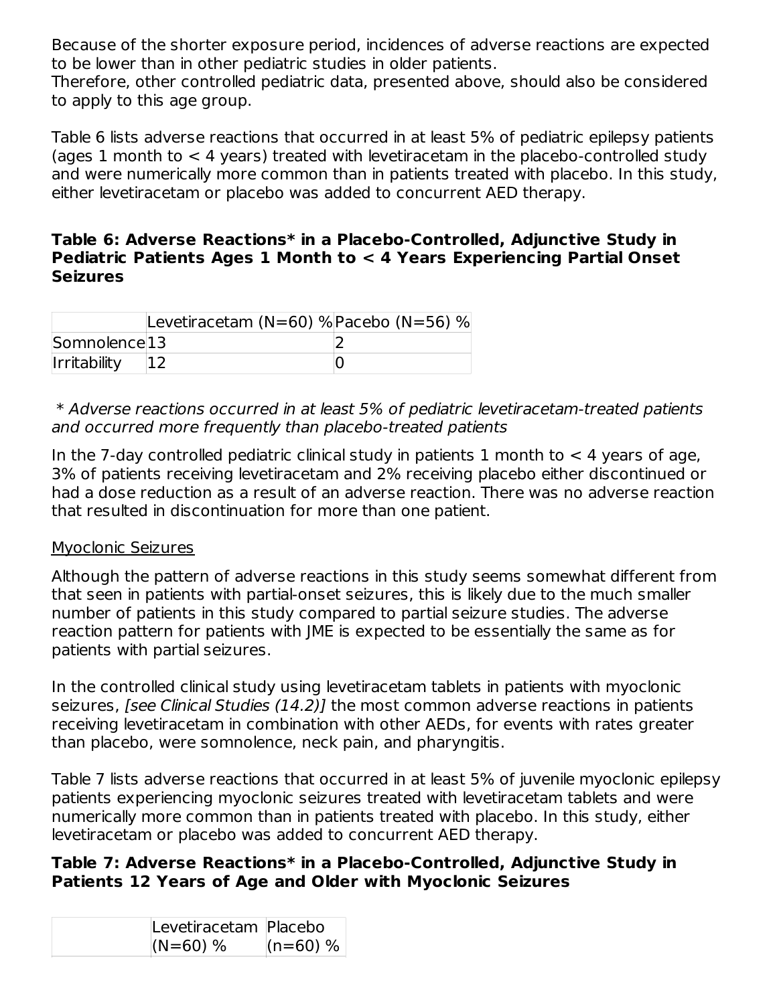Because of the shorter exposure period, incidences of adverse reactions are expected to be lower than in other pediatric studies in older patients.

Therefore, other controlled pediatric data, presented above, should also be considered to apply to this age group.

Table 6 lists adverse reactions that occurred in at least 5% of pediatric epilepsy patients (ages 1 month to < 4 years) treated with levetiracetam in the placebo-controlled study and were numerically more common than in patients treated with placebo. In this study, either levetiracetam or placebo was added to concurrent AED therapy.

#### **Table 6: Adverse Reactions\* in a Placebo-Controlled, Adjunctive Study in Pediatric Patients Ages 1 Month to < 4 Years Experiencing Partial Onset Seizures**

|                          | Levetiracetam (N=60) % $P$ acebo (N=56) % |  |
|--------------------------|-------------------------------------------|--|
| Somnolence <sup>13</sup> |                                           |  |
| <b>Irritability</b>      |                                           |  |

#### \* Adverse reactions occurred in at least 5% of pediatric levetiracetam-treated patients and occurred more frequently than placebo-treated patients

In the 7-day controlled pediatric clinical study in patients 1 month to  $<$  4 years of age, 3% of patients receiving levetiracetam and 2% receiving placebo either discontinued or had a dose reduction as a result of an adverse reaction. There was no adverse reaction that resulted in discontinuation for more than one patient.

### Myoclonic Seizures

Although the pattern of adverse reactions in this study seems somewhat different from that seen in patients with partial-onset seizures, this is likely due to the much smaller number of patients in this study compared to partial seizure studies. The adverse reaction pattern for patients with JME is expected to be essentially the same as for patients with partial seizures.

In the controlled clinical study using levetiracetam tablets in patients with myoclonic seizures, *[see Clinical Studies (14.2)]* the most common adverse reactions in patients receiving levetiracetam in combination with other AEDs, for events with rates greater than placebo, were somnolence, neck pain, and pharyngitis.

Table 7 lists adverse reactions that occurred in at least 5% of juvenile myoclonic epilepsy patients experiencing myoclonic seizures treated with levetiracetam tablets and were numerically more common than in patients treated with placebo. In this study, either levetiracetam or placebo was added to concurrent AED therapy.

### **Table 7: Adverse Reactions\* in a Placebo-Controlled, Adjunctive Study in Patients 12 Years of Age and Older with Myoclonic Seizures**

| Levetiracetam Placebo |            |
|-----------------------|------------|
| $(N=60)$ %            | $(n=60)$ % |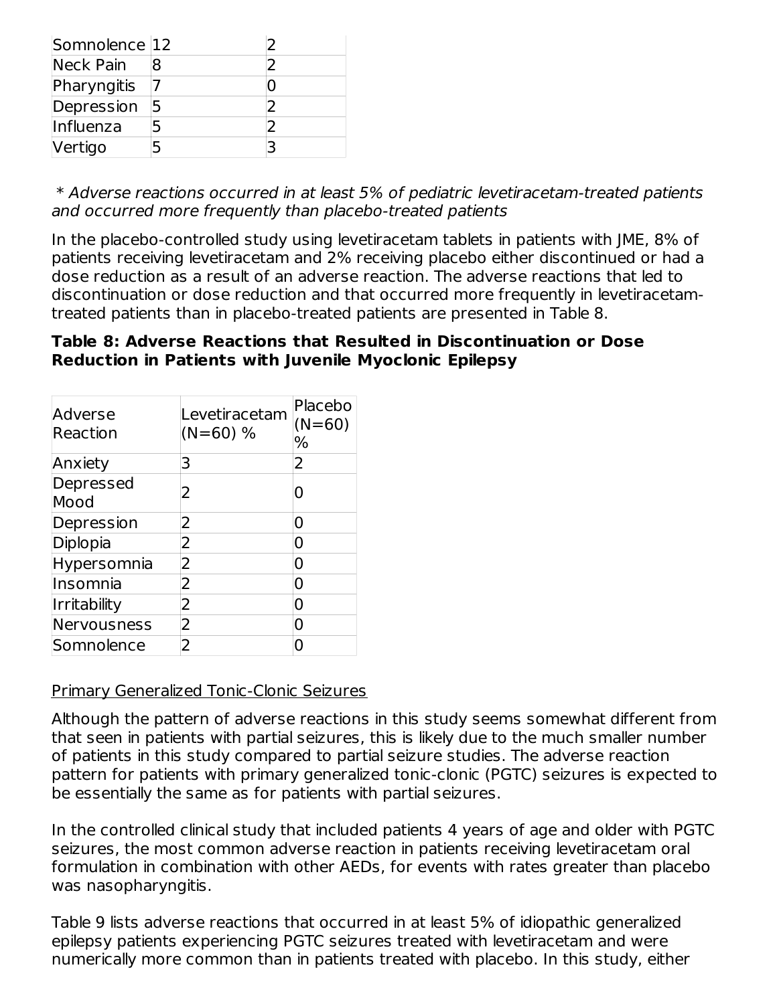| Somnolence 12 |  |
|---------------|--|
| Neck Pain     |  |
| Pharyngitis   |  |
| Depression    |  |
| Influenza     |  |
| Vertigo       |  |

\* Adverse reactions occurred in at least 5% of pediatric levetiracetam-treated patients and occurred more frequently than placebo-treated patients

In the placebo-controlled study using levetiracetam tablets in patients with JME, 8% of patients receiving levetiracetam and 2% receiving placebo either discontinued or had a dose reduction as a result of an adverse reaction. The adverse reactions that led to discontinuation or dose reduction and that occurred more frequently in levetiracetamtreated patients than in placebo-treated patients are presented in Table 8.

### **Table 8: Adverse Reactions that Resulted in Discontinuation or Dose Reduction in Patients with Juvenile Myoclonic Epilepsy**

| Adverse<br>Reaction | Levetiracetam<br>$(N=60)$ % | Placebo<br>$(N=60)$<br>℅ |
|---------------------|-----------------------------|--------------------------|
| Anxiety             | 3                           | 2                        |
| Depressed<br>Mood   | 2                           |                          |
| Depression          | 2                           | O                        |
| Diplopia            | 2                           | 0                        |
| Hypersomnia         | 2                           | 0                        |
| Insomnia            | 2                           | ი                        |
| <b>Irritability</b> | 2                           | O                        |
| Nervousness         | 2                           | O                        |
| Somnolence          | 2                           |                          |

### Primary Generalized Tonic-Clonic Seizures

Although the pattern of adverse reactions in this study seems somewhat different from that seen in patients with partial seizures, this is likely due to the much smaller number of patients in this study compared to partial seizure studies. The adverse reaction pattern for patients with primary generalized tonic-clonic (PGTC) seizures is expected to be essentially the same as for patients with partial seizures.

In the controlled clinical study that included patients 4 years of age and older with PGTC seizures, the most common adverse reaction in patients receiving levetiracetam oral formulation in combination with other AEDs, for events with rates greater than placebo was nasopharyngitis.

Table 9 lists adverse reactions that occurred in at least 5% of idiopathic generalized epilepsy patients experiencing PGTC seizures treated with levetiracetam and were numerically more common than in patients treated with placebo. In this study, either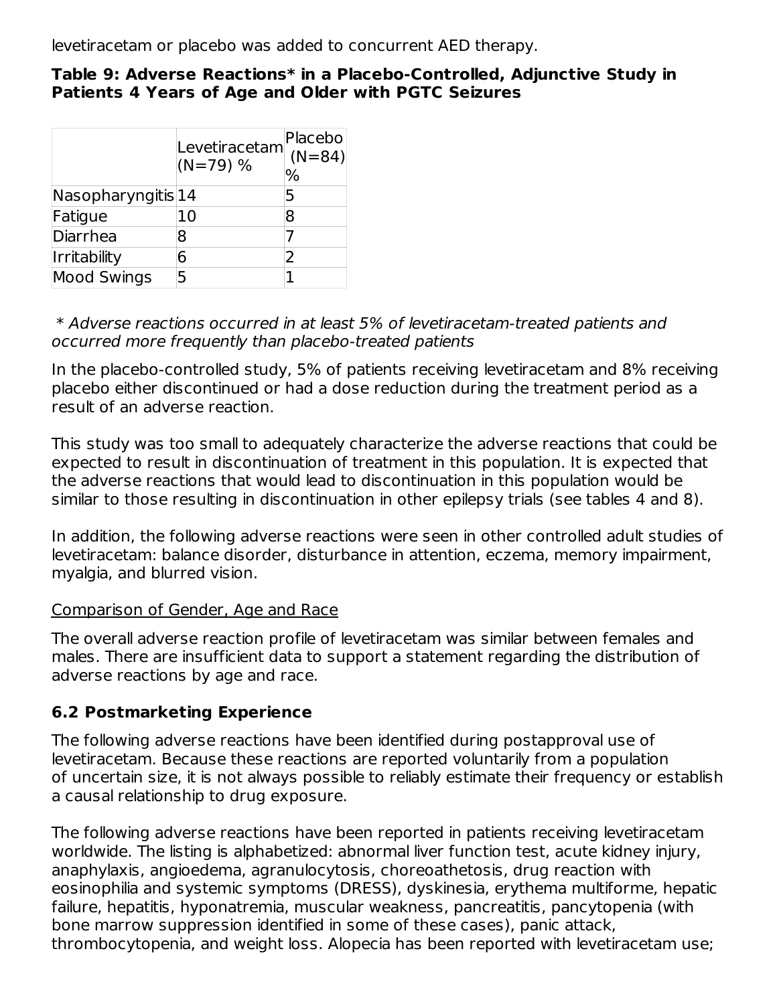levetiracetam or placebo was added to concurrent AED therapy.

#### **Table 9: Adverse Reactions\* in a Placebo-Controlled, Adjunctive Study in Patients 4 Years of Age and Older with PGTC Seizures**

|                          | Levetiracetam<br>$(N=79)$ % | Placebo<br>$(N = 84)$<br>℅ |
|--------------------------|-----------------------------|----------------------------|
| $N$ asopharyngitis $ 14$ |                             | 5                          |
| Fatigue                  | 10                          | 8                          |
| Diarrhea                 | 8                           |                            |
| <b>Irritability</b>      | հ                           |                            |
| <b>Mood Swings</b>       | 5                           |                            |

#### \* Adverse reactions occurred in at least 5% of levetiracetam-treated patients and occurred more frequently than placebo-treated patients

In the placebo-controlled study, 5% of patients receiving levetiracetam and 8% receiving placebo either discontinued or had a dose reduction during the treatment period as a result of an adverse reaction.

This study was too small to adequately characterize the adverse reactions that could be expected to result in discontinuation of treatment in this population. It is expected that the adverse reactions that would lead to discontinuation in this population would be similar to those resulting in discontinuation in other epilepsy trials (see tables 4 and 8).

In addition, the following adverse reactions were seen in other controlled adult studies of levetiracetam: balance disorder, disturbance in attention, eczema, memory impairment, myalgia, and blurred vision.

### Comparison of Gender, Age and Race

The overall adverse reaction profile of levetiracetam was similar between females and males. There are insufficient data to support a statement regarding the distribution of adverse reactions by age and race.

## **6.2 Postmarketing Experience**

The following adverse reactions have been identified during postapproval use of levetiracetam. Because these reactions are reported voluntarily from a population of uncertain size, it is not always possible to reliably estimate their frequency or establish a causal relationship to drug exposure.

The following adverse reactions have been reported in patients receiving levetiracetam worldwide. The listing is alphabetized: abnormal liver function test, acute kidney injury, anaphylaxis, angioedema, agranulocytosis, choreoathetosis, drug reaction with eosinophilia and systemic symptoms (DRESS), dyskinesia, erythema multiforme, hepatic failure, hepatitis, hyponatremia, muscular weakness, pancreatitis, pancytopenia (with bone marrow suppression identified in some of these cases), panic attack, thrombocytopenia, and weight loss. Alopecia has been reported with levetiracetam use;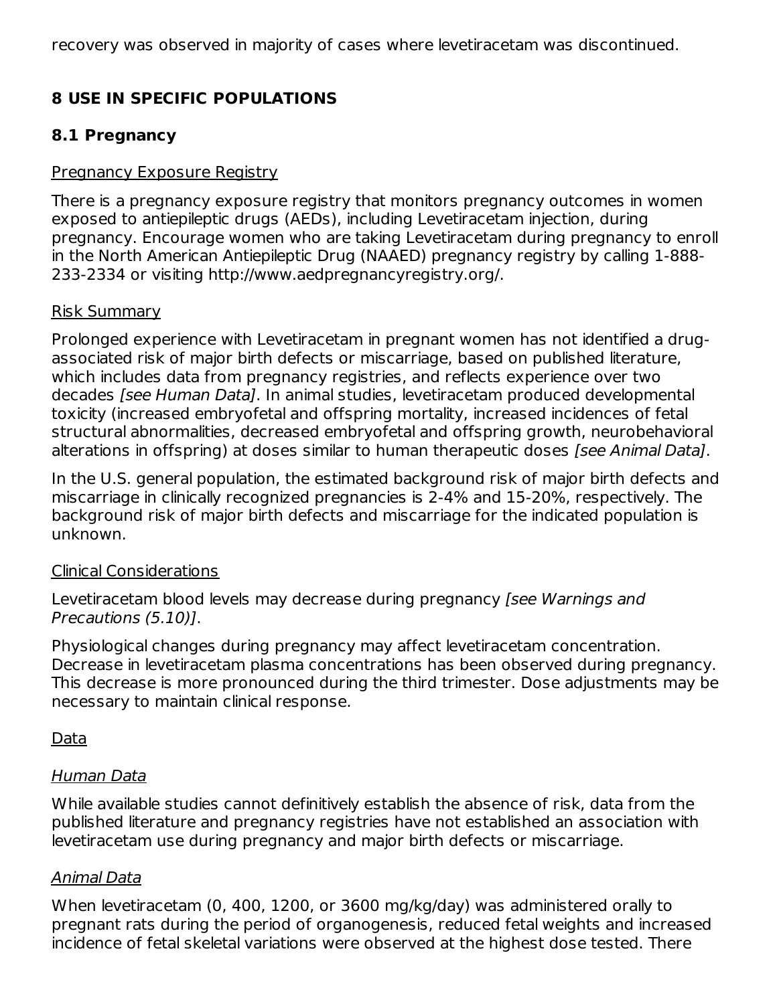recovery was observed in majority of cases where levetiracetam was discontinued.

## **8 USE IN SPECIFIC POPULATIONS**

### **8.1 Pregnancy**

### Pregnancy Exposure Registry

There is a pregnancy exposure registry that monitors pregnancy outcomes in women exposed to antiepileptic drugs (AEDs), including Levetiracetam injection, during pregnancy. Encourage women who are taking Levetiracetam during pregnancy to enroll in the North American Antiepileptic Drug (NAAED) pregnancy registry by calling 1-888- 233-2334 or visiting http://www.aedpregnancyregistry.org/.

#### Risk Summary

Prolonged experience with Levetiracetam in pregnant women has not identified a drugassociated risk of major birth defects or miscarriage, based on published literature, which includes data from pregnancy registries, and reflects experience over two decades [see Human Data]. In animal studies, levetiracetam produced developmental toxicity (increased embryofetal and offspring mortality, increased incidences of fetal structural abnormalities, decreased embryofetal and offspring growth, neurobehavioral alterations in offspring) at doses similar to human therapeutic doses *[see Animal Data]*.

In the U.S. general population, the estimated background risk of major birth defects and miscarriage in clinically recognized pregnancies is 2-4% and 15-20%, respectively. The background risk of major birth defects and miscarriage for the indicated population is unknown.

### Clinical Considerations

Levetiracetam blood levels may decrease during pregnancy (see Warnings and Precautions (5.10)].

Physiological changes during pregnancy may affect levetiracetam concentration. Decrease in levetiracetam plasma concentrations has been observed during pregnancy. This decrease is more pronounced during the third trimester. Dose adjustments may be necessary to maintain clinical response.

### Data

### Human Data

While available studies cannot definitively establish the absence of risk, data from the published literature and pregnancy registries have not established an association with levetiracetam use during pregnancy and major birth defects or miscarriage.

### Animal Data

When levetiracetam (0, 400, 1200, or 3600 mg/kg/day) was administered orally to pregnant rats during the period of organogenesis, reduced fetal weights and increased incidence of fetal skeletal variations were observed at the highest dose tested. There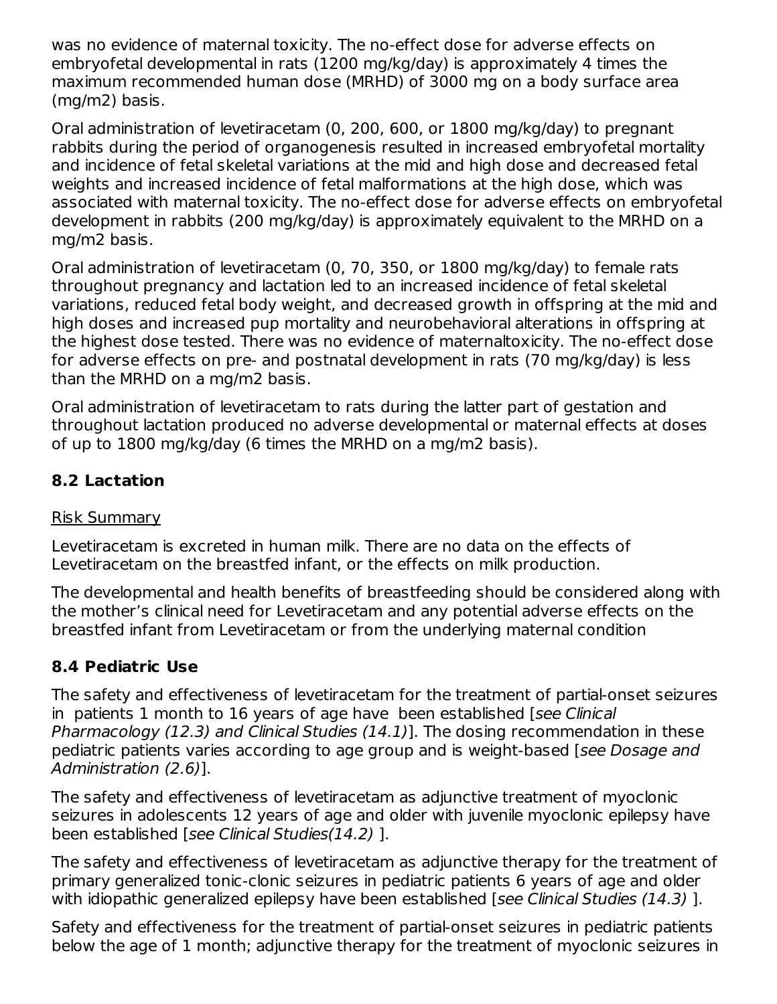was no evidence of maternal toxicity. The no-effect dose for adverse effects on embryofetal developmental in rats (1200 mg/kg/day) is approximately 4 times the maximum recommended human dose (MRHD) of 3000 mg on a body surface area (mg/m2) basis.

Oral administration of levetiracetam (0, 200, 600, or 1800 mg/kg/day) to pregnant rabbits during the period of organogenesis resulted in increased embryofetal mortality and incidence of fetal skeletal variations at the mid and high dose and decreased fetal weights and increased incidence of fetal malformations at the high dose, which was associated with maternal toxicity. The no-effect dose for adverse effects on embryofetal development in rabbits (200 mg/kg/day) is approximately equivalent to the MRHD on a mg/m2 basis.

Oral administration of levetiracetam (0, 70, 350, or 1800 mg/kg/day) to female rats throughout pregnancy and lactation led to an increased incidence of fetal skeletal variations, reduced fetal body weight, and decreased growth in offspring at the mid and high doses and increased pup mortality and neurobehavioral alterations in offspring at the highest dose tested. There was no evidence of maternaltoxicity. The no-effect dose for adverse effects on pre- and postnatal development in rats (70 mg/kg/day) is less than the MRHD on a mg/m2 basis.

Oral administration of levetiracetam to rats during the latter part of gestation and throughout lactation produced no adverse developmental or maternal effects at doses of up to 1800 mg/kg/day (6 times the MRHD on a mg/m2 basis).

## **8.2 Lactation**

### Risk Summary

Levetiracetam is excreted in human milk. There are no data on the effects of Levetiracetam on the breastfed infant, or the effects on milk production.

The developmental and health benefits of breastfeeding should be considered along with the mother's clinical need for Levetiracetam and any potential adverse effects on the breastfed infant from Levetiracetam or from the underlying maternal condition

### **8.4 Pediatric Use**

The safety and effectiveness of levetiracetam for the treatment of partial-onset seizures in patients 1 month to 16 years of age have been established [see Clinical Pharmacology (12.3) and Clinical Studies (14.1)]. The dosing recommendation in these pediatric patients varies according to age group and is weight-based [see Dosage and Administration (2.6)].

The safety and effectiveness of levetiracetam as adjunctive treatment of myoclonic seizures in adolescents 12 years of age and older with juvenile myoclonic epilepsy have been established [see Clinical Studies(14.2) ].

The safety and effectiveness of levetiracetam as adjunctive therapy for the treatment of primary generalized tonic-clonic seizures in pediatric patients 6 years of age and older with idiopathic generalized epilepsy have been established [see Clinical Studies (14.3)].

Safety and effectiveness for the treatment of partial-onset seizures in pediatric patients below the age of 1 month; adjunctive therapy for the treatment of myoclonic seizures in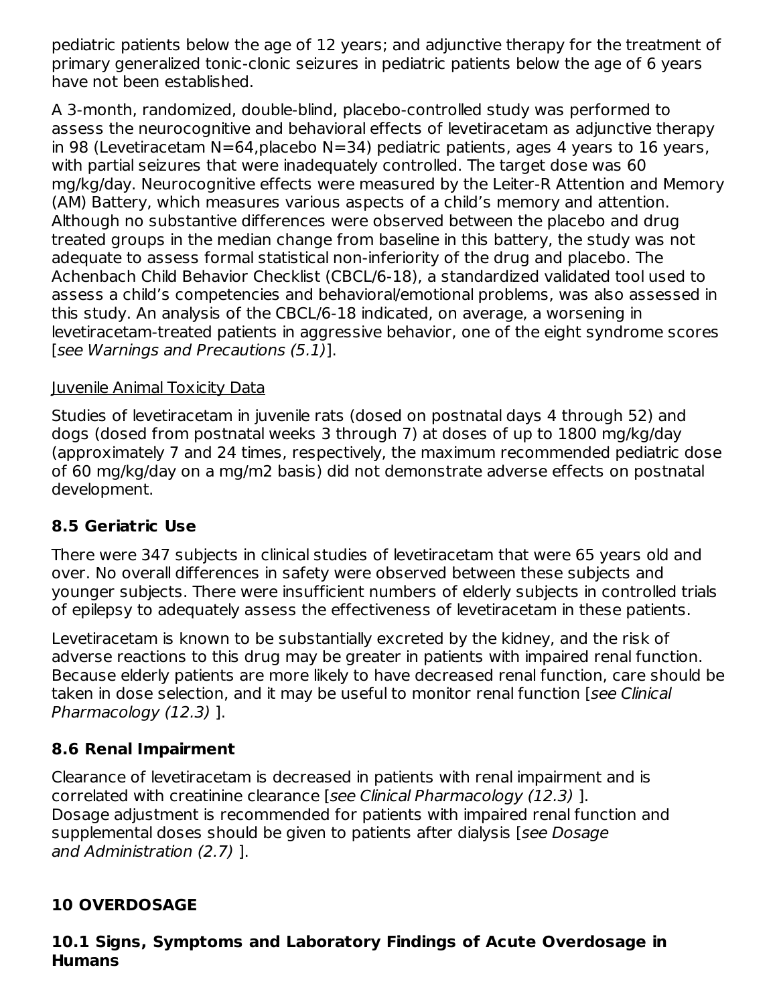pediatric patients below the age of 12 years; and adjunctive therapy for the treatment of primary generalized tonic-clonic seizures in pediatric patients below the age of 6 years have not been established.

A 3-month, randomized, double-blind, placebo-controlled study was performed to assess the neurocognitive and behavioral effects of levetiracetam as adjunctive therapy in 98 (Levetiracetam N=64, placebo N=34) pediatric patients, ages 4 years to 16 years, with partial seizures that were inadequately controlled. The target dose was 60 mg/kg/day. Neurocognitive effects were measured by the Leiter-R Attention and Memory (AM) Battery, which measures various aspects of a child's memory and attention. Although no substantive differences were observed between the placebo and drug treated groups in the median change from baseline in this battery, the study was not adequate to assess formal statistical non-inferiority of the drug and placebo. The Achenbach Child Behavior Checklist (CBCL/6-18), a standardized validated tool used to assess a child's competencies and behavioral/emotional problems, was also assessed in this study. An analysis of the CBCL/6-18 indicated, on average, a worsening in levetiracetam-treated patients in aggressive behavior, one of the eight syndrome scores [see Warnings and Precautions (5.1)].

### Juvenile Animal Toxicity Data

Studies of levetiracetam in juvenile rats (dosed on postnatal days 4 through 52) and dogs (dosed from postnatal weeks 3 through 7) at doses of up to 1800 mg/kg/day (approximately 7 and 24 times, respectively, the maximum recommended pediatric dose of 60 mg/kg/day on a mg/m2 basis) did not demonstrate adverse effects on postnatal development.

## **8.5 Geriatric Use**

There were 347 subjects in clinical studies of levetiracetam that were 65 years old and over. No overall differences in safety were observed between these subjects and younger subjects. There were insufficient numbers of elderly subjects in controlled trials of epilepsy to adequately assess the effectiveness of levetiracetam in these patients.

Levetiracetam is known to be substantially excreted by the kidney, and the risk of adverse reactions to this drug may be greater in patients with impaired renal function. Because elderly patients are more likely to have decreased renal function, care should be taken in dose selection, and it may be useful to monitor renal function [see Clinical Pharmacology (12.3) ].

### **8.6 Renal Impairment**

Clearance of levetiracetam is decreased in patients with renal impairment and is correlated with creatinine clearance [see Clinical Pharmacology (12.3) ]. Dosage adjustment is recommended for patients with impaired renal function and supplemental doses should be given to patients after dialysis [see Dosage] and Administration (2.7) ].

## **10 OVERDOSAGE**

### **10.1 Signs, Symptoms and Laboratory Findings of Acute Overdosage in Humans**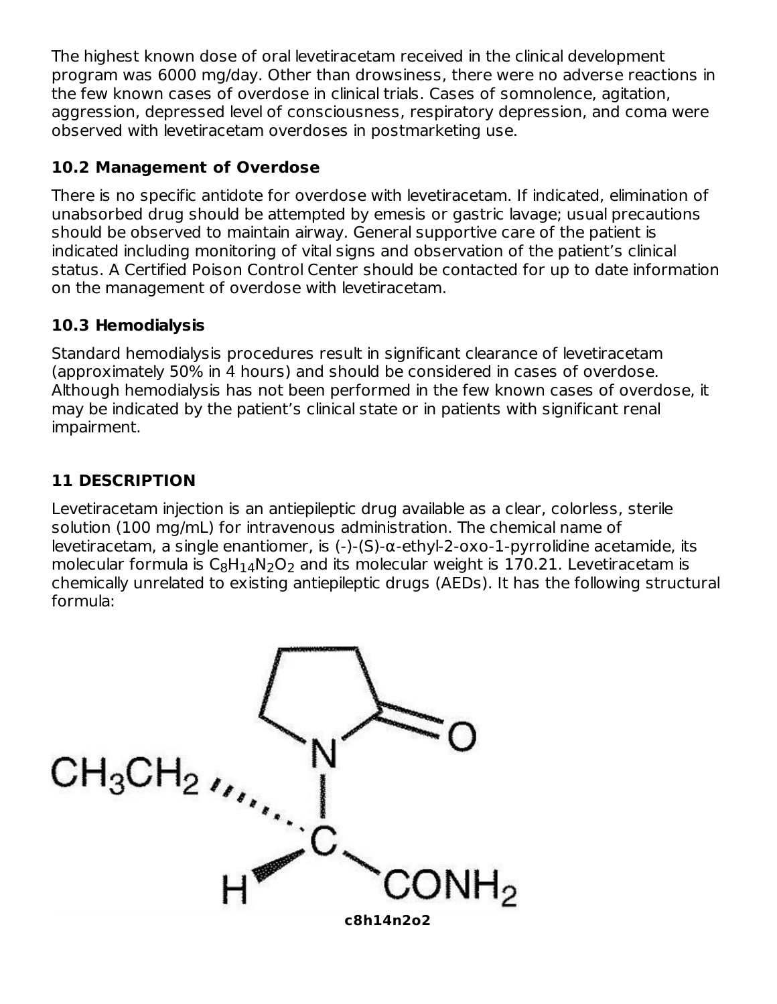The highest known dose of oral levetiracetam received in the clinical development program was 6000 mg/day. Other than drowsiness, there were no adverse reactions in the few known cases of overdose in clinical trials. Cases of somnolence, agitation, aggression, depressed level of consciousness, respiratory depression, and coma were observed with levetiracetam overdoses in postmarketing use.

## **10.2 Management of Overdose**

There is no specific antidote for overdose with levetiracetam. If indicated, elimination of unabsorbed drug should be attempted by emesis or gastric lavage; usual precautions should be observed to maintain airway. General supportive care of the patient is indicated including monitoring of vital signs and observation of the patient's clinical status. A Certified Poison Control Center should be contacted for up to date information on the management of overdose with levetiracetam.

## **10.3 Hemodialysis**

Standard hemodialysis procedures result in significant clearance of levetiracetam (approximately 50% in 4 hours) and should be considered in cases of overdose. Although hemodialysis has not been performed in the few known cases of overdose, it may be indicated by the patient's clinical state or in patients with significant renal impairment.

# **11 DESCRIPTION**

Levetiracetam injection is an antiepileptic drug available as a clear, colorless, sterile solution (100 mg/mL) for intravenous administration. The chemical name of levetiracetam, a single enantiomer, is (-)-(S)-α-ethyl-2-oxo-1-pyrrolidine acetamide, its molecular formula is  $\mathsf{C}_8\mathsf{H}_1$ 4N<sub>2</sub>O<sub>2</sub> and its molecular weight is 170.21. Levetiracetam is chemically unrelated to existing antiepileptic drugs (AEDs). It has the following structural formula:

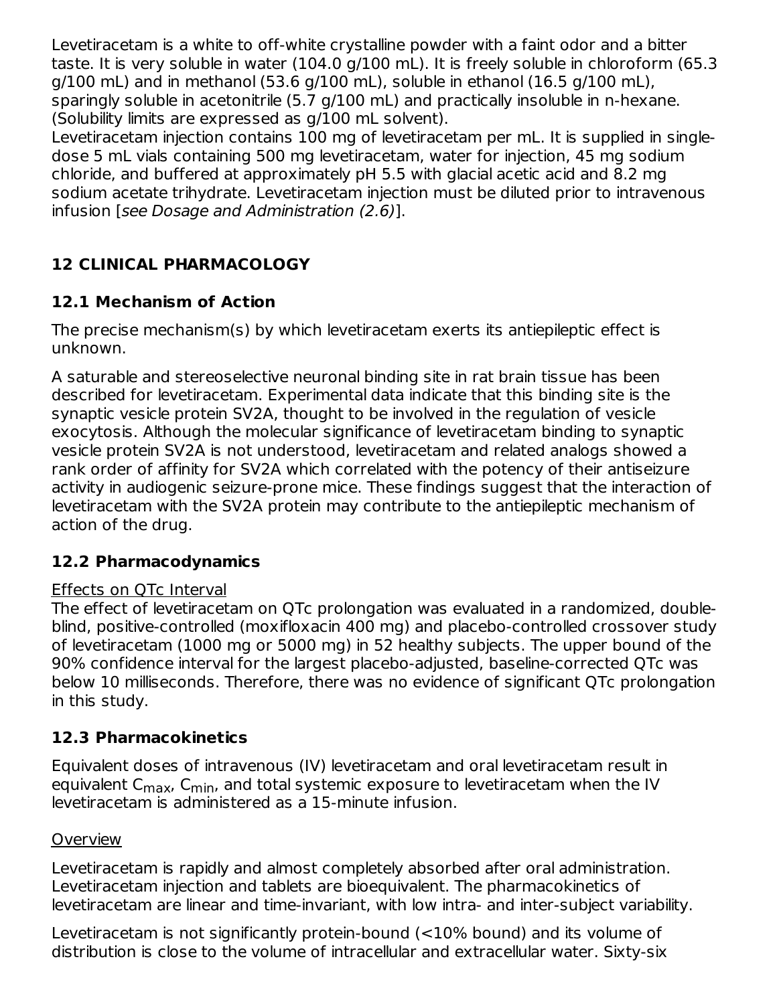Levetiracetam is a white to off-white crystalline powder with a faint odor and a bitter taste. It is very soluble in water (104.0 g/100 mL). It is freely soluble in chloroform (65.3  $q/100$  mL) and in methanol (53.6  $q/100$  mL), soluble in ethanol (16.5  $q/100$  mL), sparingly soluble in acetonitrile (5.7 g/100 mL) and practically insoluble in n-hexane. (Solubility limits are expressed as g/100 mL solvent).

Levetiracetam injection contains 100 mg of levetiracetam per mL. It is supplied in singledose 5 mL vials containing 500 mg levetiracetam, water for injection, 45 mg sodium chloride, and buffered at approximately pH 5.5 with glacial acetic acid and 8.2 mg sodium acetate trihydrate. Levetiracetam injection must be diluted prior to intravenous infusion [see Dosage and Administration (2.6)].

# **12 CLINICAL PHARMACOLOGY**

## **12.1 Mechanism of Action**

The precise mechanism(s) by which levetiracetam exerts its antiepileptic effect is unknown.

A saturable and stereoselective neuronal binding site in rat brain tissue has been described for levetiracetam. Experimental data indicate that this binding site is the synaptic vesicle protein SV2A, thought to be involved in the regulation of vesicle exocytosis. Although the molecular significance of levetiracetam binding to synaptic vesicle protein SV2A is not understood, levetiracetam and related analogs showed a rank order of affinity for SV2A which correlated with the potency of their antiseizure activity in audiogenic seizure-prone mice. These findings suggest that the interaction of levetiracetam with the SV2A protein may contribute to the antiepileptic mechanism of action of the drug.

### **12.2 Pharmacodynamics**

### Effects on QTc Interval

The effect of levetiracetam on QTc prolongation was evaluated in a randomized, doubleblind, positive-controlled (moxifloxacin 400 mg) and placebo-controlled crossover study of levetiracetam (1000 mg or 5000 mg) in 52 healthy subjects. The upper bound of the 90% confidence interval for the largest placebo-adjusted, baseline-corrected QTc was below 10 milliseconds. Therefore, there was no evidence of significant QTc prolongation in this study.

### **12.3 Pharmacokinetics**

Equivalent doses of intravenous (IV) levetiracetam and oral levetiracetam result in equivalent C<sub>max</sub>, C<sub>min</sub>, and total systemic exposure to levetiracetam when the IV levetiracetam is administered as a 15-minute infusion.

### **Overview**

Levetiracetam is rapidly and almost completely absorbed after oral administration. Levetiracetam injection and tablets are bioequivalent. The pharmacokinetics of levetiracetam are linear and time-invariant, with low intra- and inter-subject variability.

Levetiracetam is not significantly protein-bound (<10% bound) and its volume of distribution is close to the volume of intracellular and extracellular water. Sixty-six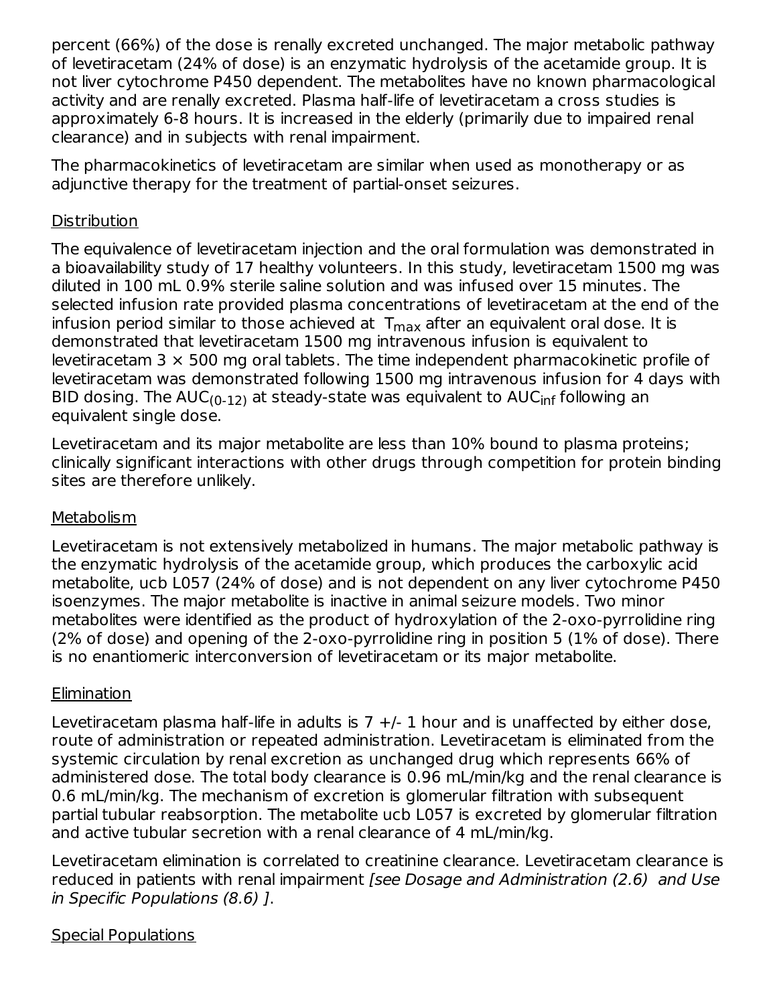percent (66%) of the dose is renally excreted unchanged. The major metabolic pathway of levetiracetam (24% of dose) is an enzymatic hydrolysis of the acetamide group. It is not liver cytochrome P450 dependent. The metabolites have no known pharmacological activity and are renally excreted. Plasma half-life of levetiracetam a cross studies is approximately 6-8 hours. It is increased in the elderly (primarily due to impaired renal clearance) and in subjects with renal impairment.

The pharmacokinetics of levetiracetam are similar when used as monotherapy or as adjunctive therapy for the treatment of partial-onset seizures.

### **Distribution**

The equivalence of levetiracetam injection and the oral formulation was demonstrated in a bioavailability study of 17 healthy volunteers. In this study, levetiracetam 1500 mg was diluted in 100 mL 0.9% sterile saline solution and was infused over 15 minutes. The selected infusion rate provided plasma concentrations of levetiracetam at the end of the infusion period similar to those achieved at  $\, {\sf T}_{\sf max}$  after an equivalent oral dose. It is demonstrated that levetiracetam 1500 mg intravenous infusion is equivalent to levetiracetam  $3 \times 500$  mg oral tablets. The time independent pharmacokinetic profile of levetiracetam was demonstrated following 1500 mg intravenous infusion for 4 days with BID dosing. The AUC<sub>(0-12)</sub> at steady-state was equivalent to AUC<sub>inf</sub> following an equivalent single dose.

Levetiracetam and its major metabolite are less than 10% bound to plasma proteins; clinically significant interactions with other drugs through competition for protein binding sites are therefore unlikely.

### **Metabolism**

Levetiracetam is not extensively metabolized in humans. The major metabolic pathway is the enzymatic hydrolysis of the acetamide group, which produces the carboxylic acid metabolite, ucb L057 (24% of dose) and is not dependent on any liver cytochrome P450 isoenzymes. The major metabolite is inactive in animal seizure models. Two minor metabolites were identified as the product of hydroxylation of the 2-oxo-pyrrolidine ring (2% of dose) and opening of the 2-oxo-pyrrolidine ring in position 5 (1% of dose). There is no enantiomeric interconversion of levetiracetam or its major metabolite.

### Elimination

Levetiracetam plasma half-life in adults is  $7 +/-1$  hour and is unaffected by either dose, route of administration or repeated administration. Levetiracetam is eliminated from the systemic circulation by renal excretion as unchanged drug which represents 66% of administered dose. The total body clearance is 0.96 mL/min/kg and the renal clearance is 0.6 mL/min/kg. The mechanism of excretion is glomerular filtration with subsequent partial tubular reabsorption. The metabolite ucb L057 is excreted by glomerular filtration and active tubular secretion with a renal clearance of 4 mL/min/kg.

Levetiracetam elimination is correlated to creatinine clearance. Levetiracetam clearance is reduced in patients with renal impairment [see Dosage and Administration (2.6) and Use in Specific Populations (8.6) ].

Special Populations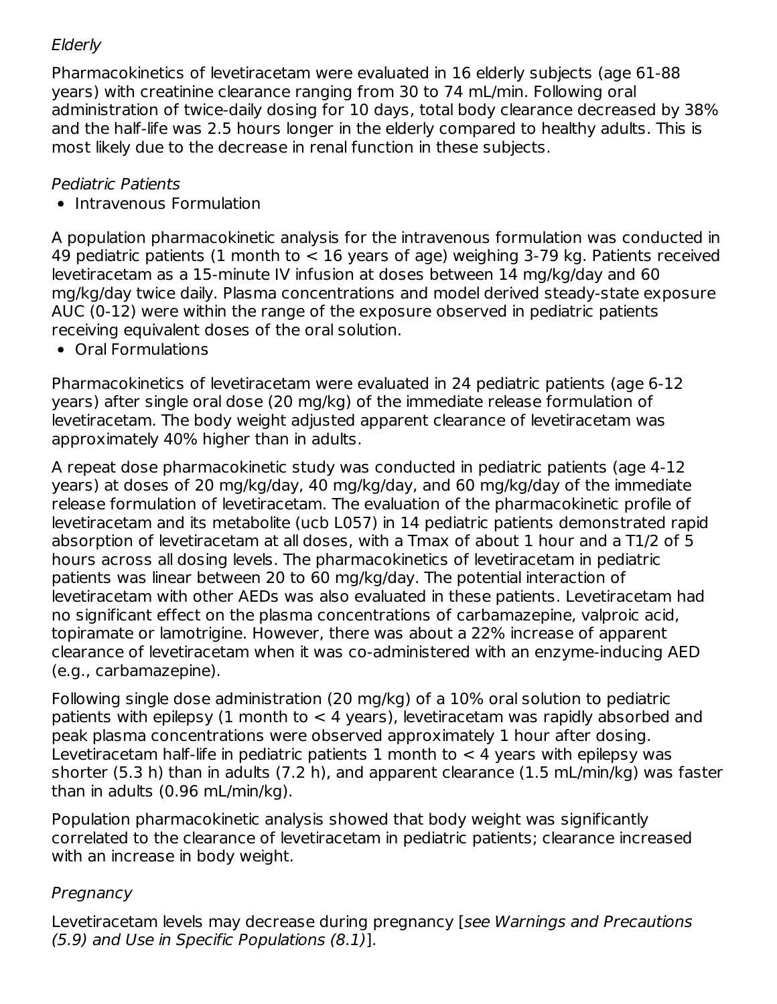## **Elderly**

Pharmacokinetics of levetiracetam were evaluated in 16 elderly subjects (age 61-88 years) with creatinine clearance ranging from 30 to 74 mL/min. Following oral administration of twice-daily dosing for 10 days, total body clearance decreased by 38% and the half-life was 2.5 hours longer in the elderly compared to healthy adults. This is most likely due to the decrease in renal function in these subjects.

## Pediatric Patients

• Intravenous Formulation

A population pharmacokinetic analysis for the intravenous formulation was conducted in 49 pediatric patients (1 month to < 16 years of age) weighing 3-79 kg. Patients received levetiracetam as a 15-minute IV infusion at doses between 14 mg/kg/day and 60 mg/kg/day twice daily. Plasma concentrations and model derived steady-state exposure AUC (0-12) were within the range of the exposure observed in pediatric patients receiving equivalent doses of the oral solution.

Oral Formulations

Pharmacokinetics of levetiracetam were evaluated in 24 pediatric patients (age 6-12 years) after single oral dose (20 mg/kg) of the immediate release formulation of levetiracetam. The body weight adjusted apparent clearance of levetiracetam was approximately 40% higher than in adults.

A repeat dose pharmacokinetic study was conducted in pediatric patients (age 4-12 years) at doses of 20 mg/kg/day, 40 mg/kg/day, and 60 mg/kg/day of the immediate release formulation of levetiracetam. The evaluation of the pharmacokinetic profile of levetiracetam and its metabolite (ucb L057) in 14 pediatric patients demonstrated rapid absorption of levetiracetam at all doses, with a Tmax of about 1 hour and a T1/2 of 5 hours across all dosing levels. The pharmacokinetics of levetiracetam in pediatric patients was linear between 20 to 60 mg/kg/day. The potential interaction of levetiracetam with other AEDs was also evaluated in these patients. Levetiracetam had no significant effect on the plasma concentrations of carbamazepine, valproic acid, topiramate or lamotrigine. However, there was about a 22% increase of apparent clearance of levetiracetam when it was co-administered with an enzyme-inducing AED (e.g., carbamazepine).

Following single dose administration (20 mg/kg) of a 10% oral solution to pediatric patients with epilepsy (1 month to  $<$  4 years), levetiracetam was rapidly absorbed and peak plasma concentrations were observed approximately 1 hour after dosing. Levetiracetam half-life in pediatric patients 1 month to  $<$  4 years with epilepsy was shorter (5.3 h) than in adults (7.2 h), and apparent clearance (1.5 mL/min/kg) was faster than in adults (0.96 mL/min/kg).

Population pharmacokinetic analysis showed that body weight was significantly correlated to the clearance of levetiracetam in pediatric patients; clearance increased with an increase in body weight.

## **Pregnancy**

Levetiracetam levels may decrease during pregnancy [see Warnings and Precautions (5.9) and Use in Specific Populations (8.1)].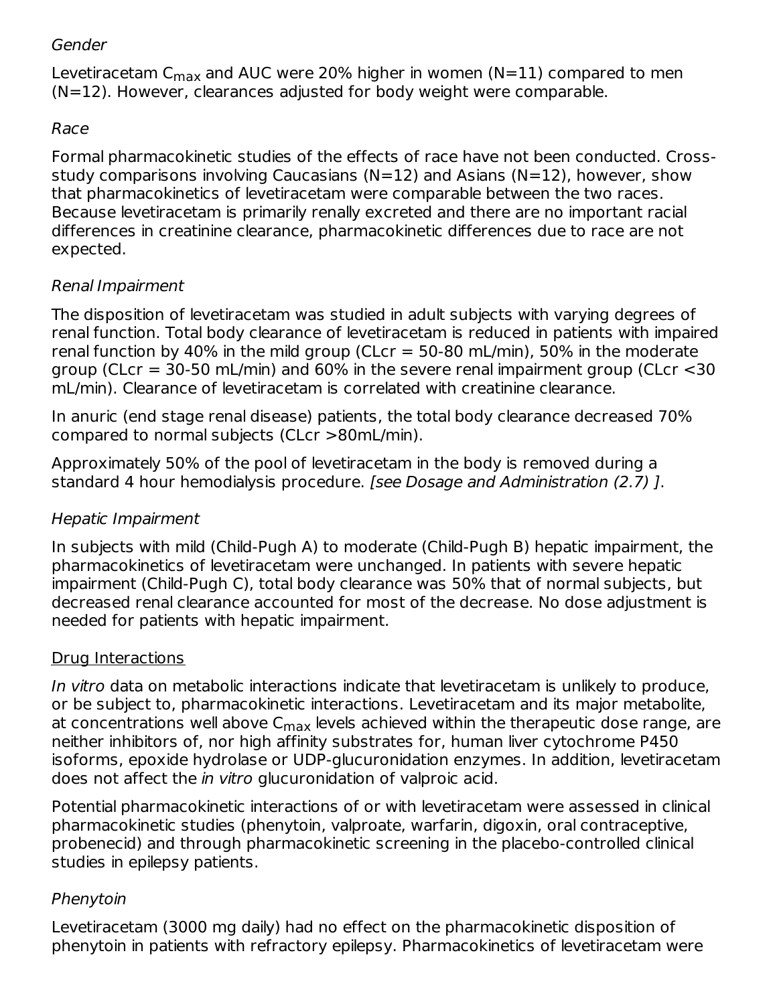### Gender

Levetiracetam C<sub>max</sub> and AUC were 20% higher in women (N=11) compared to men (N=12). However, clearances adjusted for body weight were comparable.

### Race

Formal pharmacokinetic studies of the effects of race have not been conducted. Crossstudy comparisons involving Caucasians (N=12) and Asians (N=12), however, show that pharmacokinetics of levetiracetam were comparable between the two races. Because levetiracetam is primarily renally excreted and there are no important racial differences in creatinine clearance, pharmacokinetic differences due to race are not expected.

### Renal Impairment

The disposition of levetiracetam was studied in adult subjects with varying degrees of renal function. Total body clearance of levetiracetam is reduced in patients with impaired renal function by 40% in the mild group (CLcr  $=$  50-80 mL/min), 50% in the moderate group (CLcr =  $30-50$  mL/min) and  $60\%$  in the severe renal impairment group (CLcr  $<$  30 mL/min). Clearance of levetiracetam is correlated with creatinine clearance.

In anuric (end stage renal disease) patients, the total body clearance decreased 70% compared to normal subjects (CLcr >80mL/min).

Approximately 50% of the pool of levetiracetam in the body is removed during a standard 4 hour hemodialysis procedure. [see Dosage and Administration (2.7) ].

### Hepatic Impairment

In subjects with mild (Child-Pugh A) to moderate (Child-Pugh B) hepatic impairment, the pharmacokinetics of levetiracetam were unchanged. In patients with severe hepatic impairment (Child-Pugh C), total body clearance was 50% that of normal subjects, but decreased renal clearance accounted for most of the decrease. No dose adjustment is needed for patients with hepatic impairment.

### Drug Interactions

In vitro data on metabolic interactions indicate that levetiracetam is unlikely to produce, or be subject to, pharmacokinetic interactions. Levetiracetam and its major metabolite, at concentrations well above C<sub>max</sub> levels achieved within the therapeutic dose range, are neither inhibitors of, nor high affinity substrates for, human liver cytochrome P450 isoforms, epoxide hydrolase or UDP-glucuronidation enzymes. In addition, levetiracetam does not affect the in vitro glucuronidation of valproic acid.

Potential pharmacokinetic interactions of or with levetiracetam were assessed in clinical pharmacokinetic studies (phenytoin, valproate, warfarin, digoxin, oral contraceptive, probenecid) and through pharmacokinetic screening in the placebo-controlled clinical studies in epilepsy patients.

### Phenytoin

Levetiracetam (3000 mg daily) had no effect on the pharmacokinetic disposition of phenytoin in patients with refractory epilepsy. Pharmacokinetics of levetiracetam were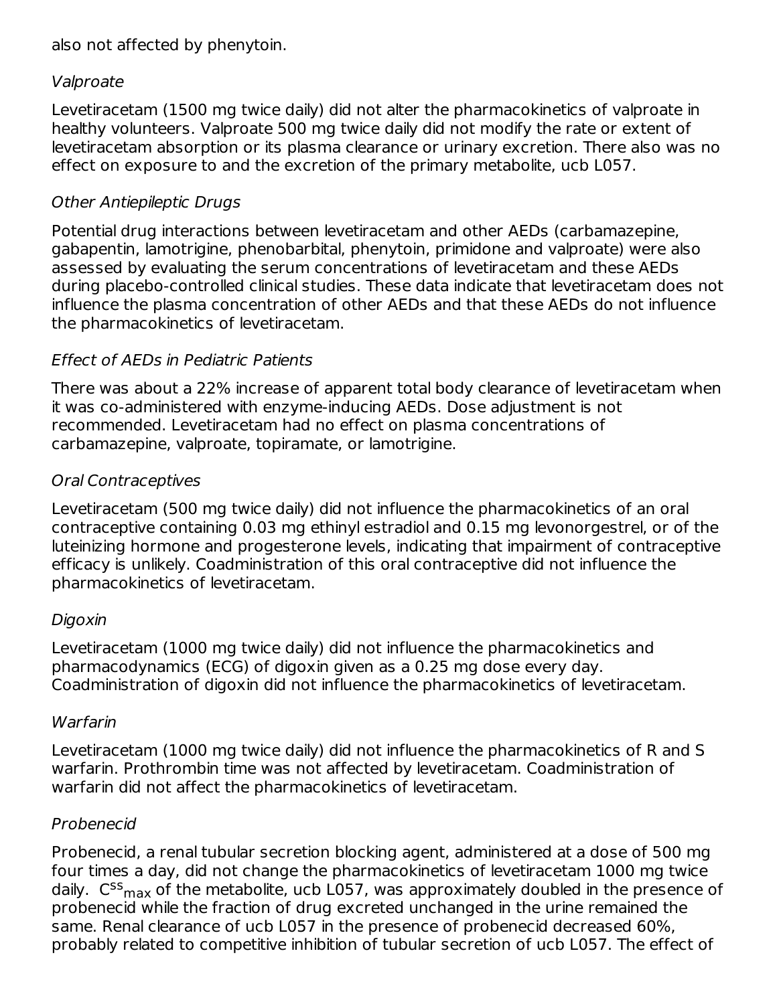also not affected by phenytoin.

### Valproate

Levetiracetam (1500 mg twice daily) did not alter the pharmacokinetics of valproate in healthy volunteers. Valproate 500 mg twice daily did not modify the rate or extent of levetiracetam absorption or its plasma clearance or urinary excretion. There also was no effect on exposure to and the excretion of the primary metabolite, ucb L057.

### Other Antiepileptic Drugs

Potential drug interactions between levetiracetam and other AEDs (carbamazepine, gabapentin, lamotrigine, phenobarbital, phenytoin, primidone and valproate) were also assessed by evaluating the serum concentrations of levetiracetam and these AEDs during placebo-controlled clinical studies. These data indicate that levetiracetam does not influence the plasma concentration of other AEDs and that these AEDs do not influence the pharmacokinetics of levetiracetam.

## Effect of AEDs in Pediatric Patients

There was about a 22% increase of apparent total body clearance of levetiracetam when it was co-administered with enzyme-inducing AEDs. Dose adjustment is not recommended. Levetiracetam had no effect on plasma concentrations of carbamazepine, valproate, topiramate, or lamotrigine.

### Oral Contraceptives

Levetiracetam (500 mg twice daily) did not influence the pharmacokinetics of an oral contraceptive containing 0.03 mg ethinyl estradiol and 0.15 mg levonorgestrel, or of the luteinizing hormone and progesterone levels, indicating that impairment of contraceptive efficacy is unlikely. Coadministration of this oral contraceptive did not influence the pharmacokinetics of levetiracetam.

### Digoxin

Levetiracetam (1000 mg twice daily) did not influence the pharmacokinetics and pharmacodynamics (ECG) of digoxin given as a 0.25 mg dose every day. Coadministration of digoxin did not influence the pharmacokinetics of levetiracetam.

### **Warfarin**

Levetiracetam (1000 mg twice daily) did not influence the pharmacokinetics of R and S warfarin. Prothrombin time was not affected by levetiracetam. Coadministration of warfarin did not affect the pharmacokinetics of levetiracetam.

### Probenecid

Probenecid, a renal tubular secretion blocking agent, administered at a dose of 500 mg four times a day, did not change the pharmacokinetics of levetiracetam 1000 mg twice daily.  $\,{\sf C}^{\sf ss}{}_{\sf max}$  of the metabolite, ucb L057, was approximately doubled in the presence of probenecid while the fraction of drug excreted unchanged in the urine remained the same. Renal clearance of ucb L057 in the presence of probenecid decreased 60%, probably related to competitive inhibition of tubular secretion of ucb L057. The effect of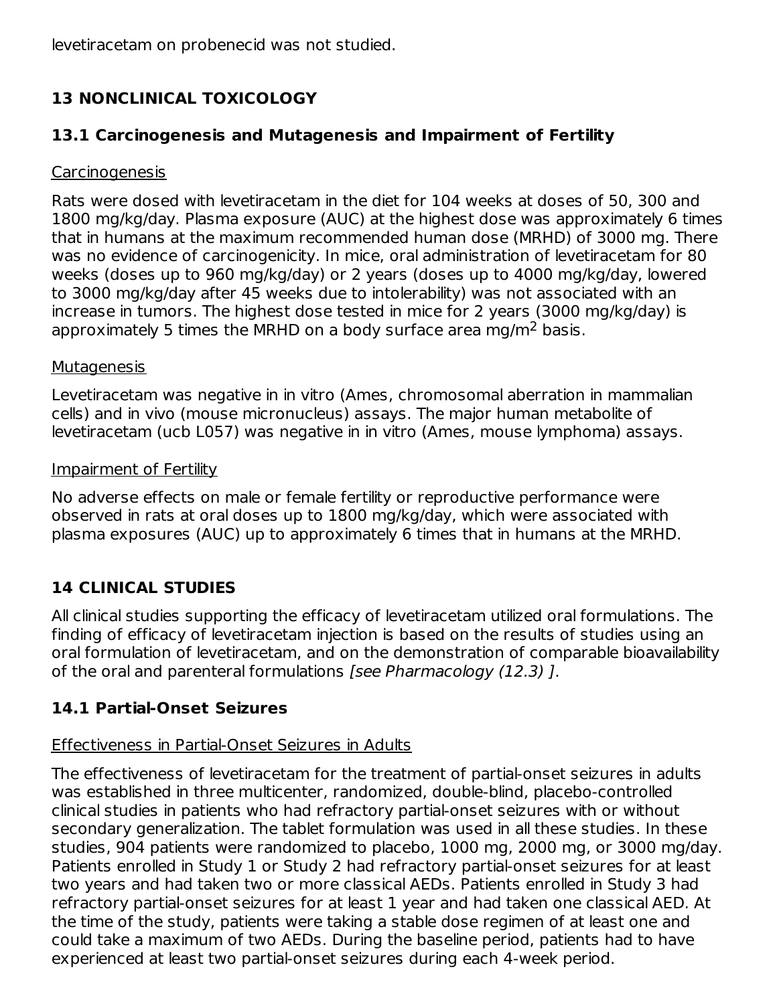levetiracetam on probenecid was not studied.

# **13 NONCLINICAL TOXICOLOGY**

### **13.1 Carcinogenesis and Mutagenesis and Impairment of Fertility**

#### Carcinogenesis

Rats were dosed with levetiracetam in the diet for 104 weeks at doses of 50, 300 and 1800 mg/kg/day. Plasma exposure (AUC) at the highest dose was approximately 6 times that in humans at the maximum recommended human dose (MRHD) of 3000 mg. There was no evidence of carcinogenicity. In mice, oral administration of levetiracetam for 80 weeks (doses up to 960 mg/kg/day) or 2 years (doses up to 4000 mg/kg/day, lowered to 3000 mg/kg/day after 45 weeks due to intolerability) was not associated with an increase in tumors. The highest dose tested in mice for 2 years (3000 mg/kg/day) is approximately 5 times the MRHD on a body surface area mg/m<sup>2</sup> basis.

#### **Mutagenesis**

Levetiracetam was negative in in vitro (Ames, chromosomal aberration in mammalian cells) and in vivo (mouse micronucleus) assays. The major human metabolite of levetiracetam (ucb L057) was negative in in vitro (Ames, mouse lymphoma) assays.

#### Impairment of Fertility

No adverse effects on male or female fertility or reproductive performance were observed in rats at oral doses up to 1800 mg/kg/day, which were associated with plasma exposures (AUC) up to approximately 6 times that in humans at the MRHD.

## **14 CLINICAL STUDIES**

All clinical studies supporting the efficacy of levetiracetam utilized oral formulations. The finding of efficacy of levetiracetam injection is based on the results of studies using an oral formulation of levetiracetam, and on the demonstration of comparable bioavailability of the oral and parenteral formulations [see Pharmacology (12.3) ].

### **14.1 Partial-Onset Seizures**

### Effectiveness in Partial-Onset Seizures in Adults

The effectiveness of levetiracetam for the treatment of partial-onset seizures in adults was established in three multicenter, randomized, double-blind, placebo-controlled clinical studies in patients who had refractory partial-onset seizures with or without secondary generalization. The tablet formulation was used in all these studies. In these studies, 904 patients were randomized to placebo, 1000 mg, 2000 mg, or 3000 mg/day. Patients enrolled in Study 1 or Study 2 had refractory partial-onset seizures for at least two years and had taken two or more classical AEDs. Patients enrolled in Study 3 had refractory partial-onset seizures for at least 1 year and had taken one classical AED. At the time of the study, patients were taking a stable dose regimen of at least one and could take a maximum of two AEDs. During the baseline period, patients had to have experienced at least two partial-onset seizures during each 4-week period.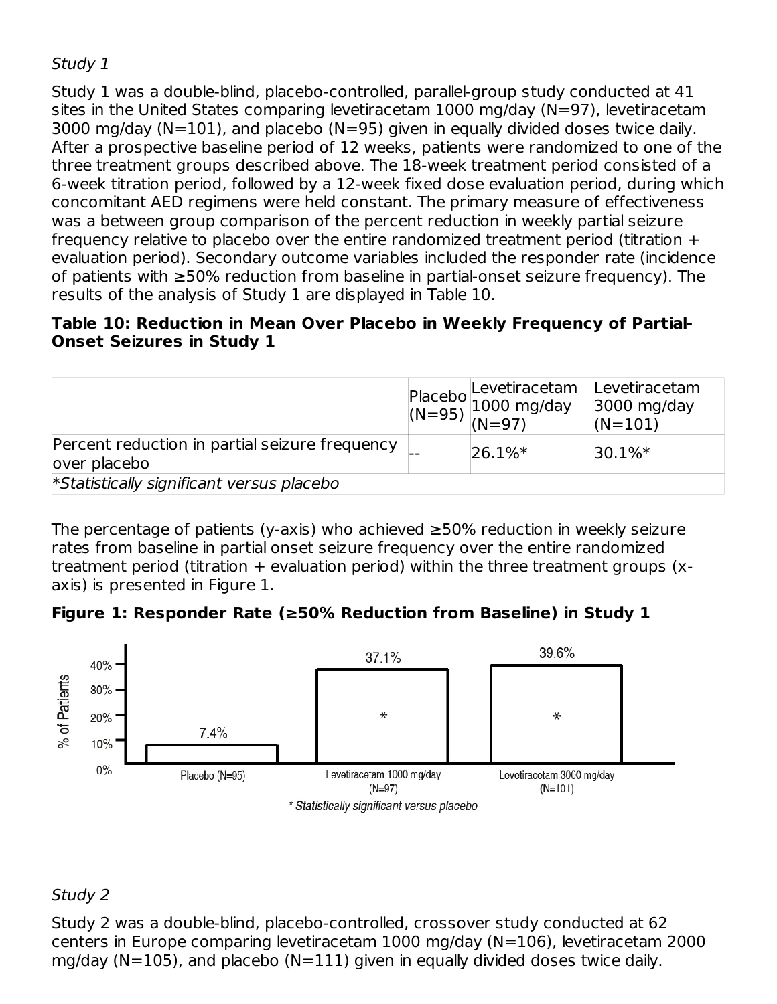## Study 1

Study 1 was a double-blind, placebo-controlled, parallel-group study conducted at 41 sites in the United States comparing levetiracetam 1000 mg/day (N=97), levetiracetam 3000 mg/day ( $N=101$ ), and placebo ( $N=95$ ) given in equally divided doses twice daily. After a prospective baseline period of 12 weeks, patients were randomized to one of the three treatment groups described above. The 18-week treatment period consisted of a 6-week titration period, followed by a 12-week fixed dose evaluation period, during which concomitant AED regimens were held constant. The primary measure of effectiveness was a between group comparison of the percent reduction in weekly partial seizure frequency relative to placebo over the entire randomized treatment period (titration + evaluation period). Secondary outcome variables included the responder rate (incidence of patients with ≥50% reduction from baseline in partial-onset seizure frequency). The results of the analysis of Study 1 are displayed in Table 10.

### **Table 10: Reduction in Mean Over Placebo in Weekly Frequency of Partial-Onset Seizures in Study 1**

|                                                                | Placebo Levetiracetam<br>(N=95) 1000 mg/day<br>(N=97) | Levetiracetam<br>3000 mg/day<br>$(N=101)$ |
|----------------------------------------------------------------|-------------------------------------------------------|-------------------------------------------|
| Percent reduction in partial seizure frequency<br>over placebo | $ 26.1\%*$                                            | $ 30.1\%*$                                |
| *Statistically significant versus placebo                      |                                                       |                                           |

The percentage of patients (y-axis) who achieved ≥50% reduction in weekly seizure rates from baseline in partial onset seizure frequency over the entire randomized treatment period (titration  $+$  evaluation period) within the three treatment groups (xaxis) is presented in Figure 1.

### **Figure 1: Responder Rate (≥50% Reduction from Baseline) in Study 1**



### Study 2

Study 2 was a double-blind, placebo-controlled, crossover study conducted at 62 centers in Europe comparing levetiracetam 1000 mg/day (N=106), levetiracetam 2000 mg/day ( $N=105$ ), and placebo ( $N=111$ ) given in equally divided doses twice daily.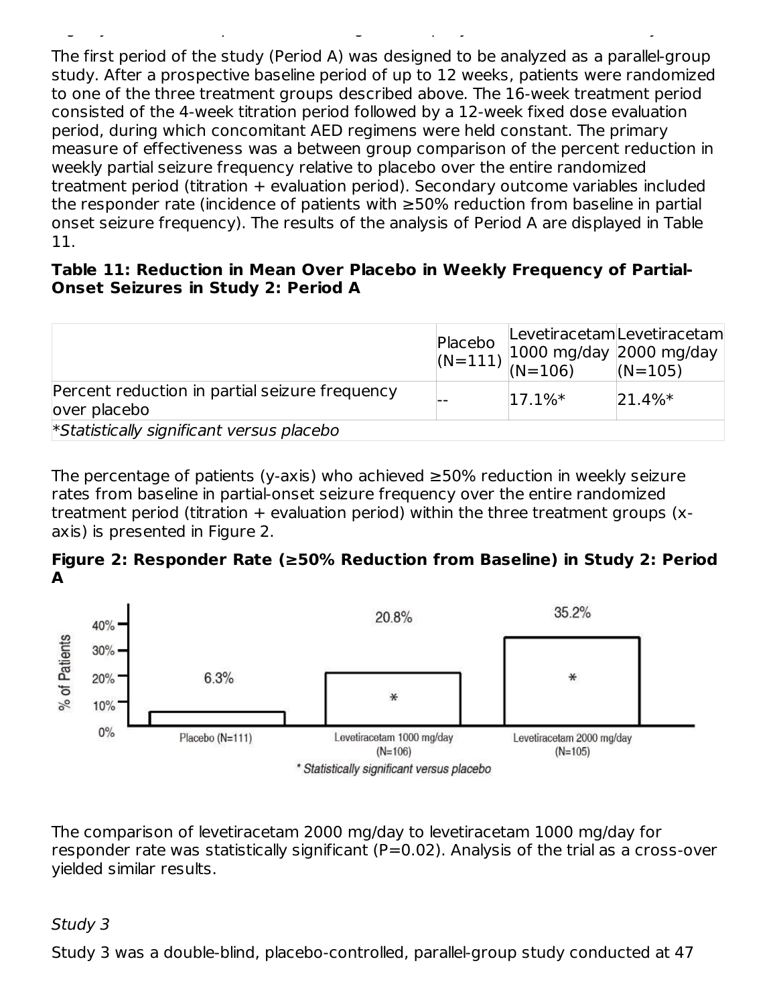The first period of the study (Period A) was designed to be analyzed as a parallel-group study. After a prospective baseline period of up to 12 weeks, patients were randomized to one of the three treatment groups described above. The 16-week treatment period consisted of the 4-week titration period followed by a 12-week fixed dose evaluation period, during which concomitant AED regimens were held constant. The primary measure of effectiveness was a between group comparison of the percent reduction in weekly partial seizure frequency relative to placebo over the entire randomized treatment period (titration + evaluation period). Secondary outcome variables included the responder rate (incidence of patients with ≥50% reduction from baseline in partial onset seizure frequency). The results of the analysis of Period A are displayed in Table 11.

mg/day (N=105), and placebo (N=111) given in equally divided doses twice daily.

#### **Table 11: Reduction in Mean Over Placebo in Weekly Frequency of Partial-Onset Seizures in Study 2: Period A**

|                                                                 | Placebo |            | LevetiracetamLevetiracetam<br>$\left  \begin{array}{l} \text{(N=111)} \\ \text{(N=111)} \\ \text{(N=106)} \end{array} \right  1000 \text{ mg/day} \left  2000 \text{ mg/day} \right $ |
|-----------------------------------------------------------------|---------|------------|---------------------------------------------------------------------------------------------------------------------------------------------------------------------------------------|
| Percent reduction in partial seizure frequency<br>lover placebo |         | $ 17.1\%*$ | $ 21.4\%*$                                                                                                                                                                            |
| *Statistically significant versus placebo                       |         |            |                                                                                                                                                                                       |

The percentage of patients (y-axis) who achieved ≥50% reduction in weekly seizure rates from baseline in partial-onset seizure frequency over the entire randomized treatment period (titration + evaluation period) within the three treatment groups (xaxis) is presented in Figure 2.

**Figure 2: Responder Rate (≥50% Reduction from Baseline) in Study 2: Period A**



The comparison of levetiracetam 2000 mg/day to levetiracetam 1000 mg/day for responder rate was statistically significant (P=0.02). Analysis of the trial as a cross-over yielded similar results.

### Study 3

Study 3 was a double-blind, placebo-controlled, parallel-group study conducted at 47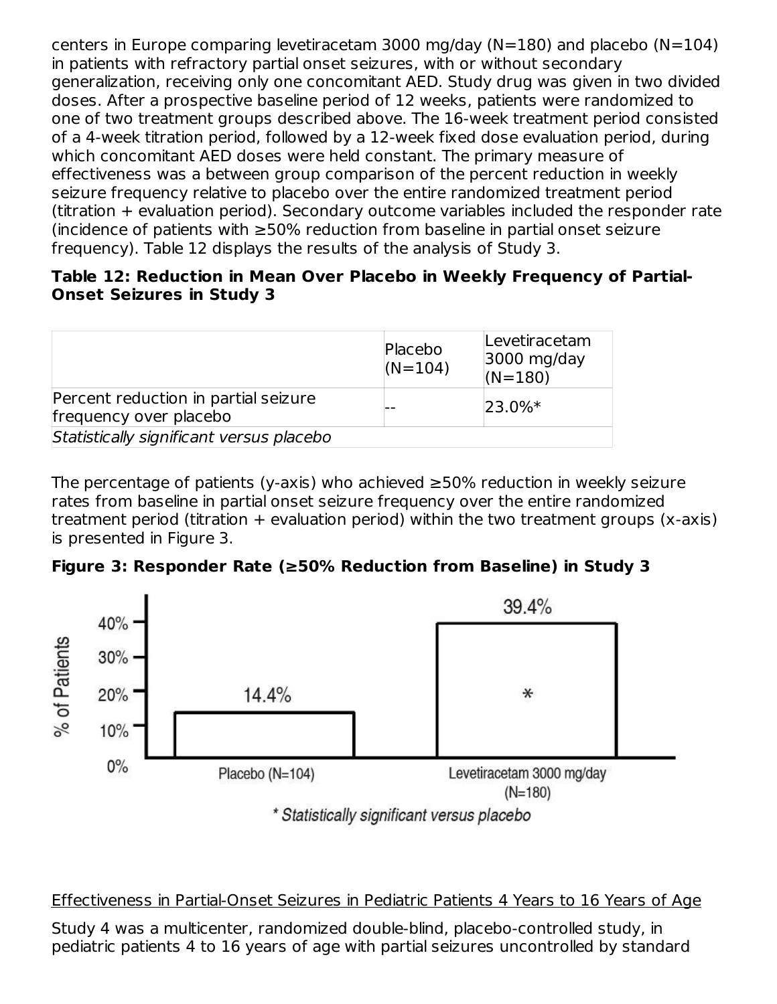centers in Europe comparing levetiracetam 3000 mg/day (N=180) and placebo (N=104) in patients with refractory partial onset seizures, with or without secondary generalization, receiving only one concomitant AED. Study drug was given in two divided doses. After a prospective baseline period of 12 weeks, patients were randomized to one of two treatment groups described above. The 16-week treatment period consisted of a 4-week titration period, followed by a 12-week fixed dose evaluation period, during which concomitant AED doses were held constant. The primary measure of effectiveness was a between group comparison of the percent reduction in weekly seizure frequency relative to placebo over the entire randomized treatment period (titration + evaluation period). Secondary outcome variables included the responder rate (incidence of patients with ≥50% reduction from baseline in partial onset seizure frequency). Table 12 displays the results of the analysis of Study 3.

### **Table 12: Reduction in Mean Over Placebo in Weekly Frequency of Partial-Onset Seizures in Study 3**

|                                                                | Placebo<br>$(N=104)$ | Levetiracetam<br>3000 mg/day<br>$(N=180)$ |
|----------------------------------------------------------------|----------------------|-------------------------------------------|
| Percent reduction in partial seizure<br>frequency over placebo |                      | $ 23.0\%*$                                |
| Statistically significant versus placebo                       |                      |                                           |

The percentage of patients (y-axis) who achieved ≥50% reduction in weekly seizure rates from baseline in partial onset seizure frequency over the entire randomized treatment period (titration  $+$  evaluation period) within the two treatment groups (x-axis) is presented in Figure 3.





Effectiveness in Partial-Onset Seizures in Pediatric Patients 4 Years to 16 Years of Age

Study 4 was a multicenter, randomized double-blind, placebo-controlled study, in pediatric patients 4 to 16 years of age with partial seizures uncontrolled by standard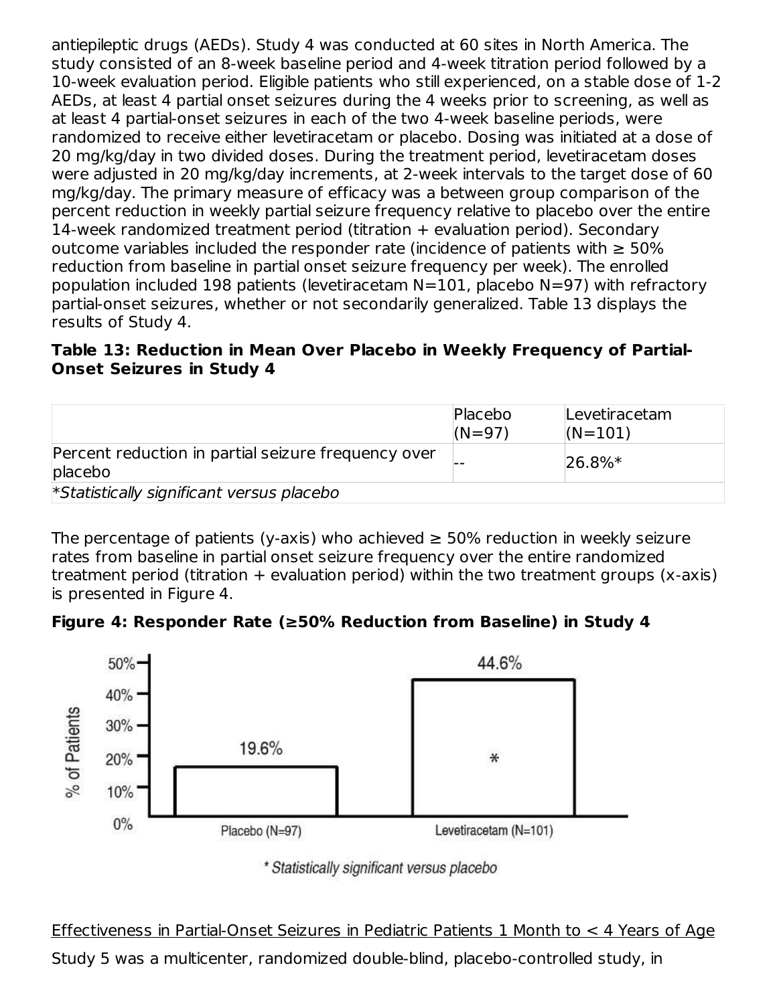antiepileptic drugs (AEDs). Study 4 was conducted at 60 sites in North America. The study consisted of an 8-week baseline period and 4-week titration period followed by a 10-week evaluation period. Eligible patients who still experienced, on a stable dose of 1-2 AEDs, at least 4 partial onset seizures during the 4 weeks prior to screening, as well as at least 4 partial-onset seizures in each of the two 4-week baseline periods, were randomized to receive either levetiracetam or placebo. Dosing was initiated at a dose of 20 mg/kg/day in two divided doses. During the treatment period, levetiracetam doses were adjusted in 20 mg/kg/day increments, at 2-week intervals to the target dose of 60 mg/kg/day. The primary measure of efficacy was a between group comparison of the percent reduction in weekly partial seizure frequency relative to placebo over the entire 14-week randomized treatment period (titration + evaluation period). Secondary outcome variables included the responder rate (incidence of patients with  $\geq 50\%$ reduction from baseline in partial onset seizure frequency per week). The enrolled population included 198 patients (levetiracetam N=101, placebo N=97) with refractory partial-onset seizures, whether or not secondarily generalized. Table 13 displays the results of Study 4.

### **Table 13: Reduction in Mean Over Placebo in Weekly Frequency of Partial-Onset Seizures in Study 4**

|                                                                   | Placebo<br>$(N = 97)$ | Levetiracetam<br>$(N=101)$ |
|-------------------------------------------------------------------|-----------------------|----------------------------|
| Percent reduction in partial seizure frequency over<br>$plac ebo$ |                       | $ 26.8\%*$                 |
| *Statistically significant versus placebo                         |                       |                            |

The percentage of patients (y-axis) who achieved  $\geq$  50% reduction in weekly seizure rates from baseline in partial onset seizure frequency over the entire randomized treatment period (titration  $+$  evaluation period) within the two treatment groups (x-axis) is presented in Figure 4.





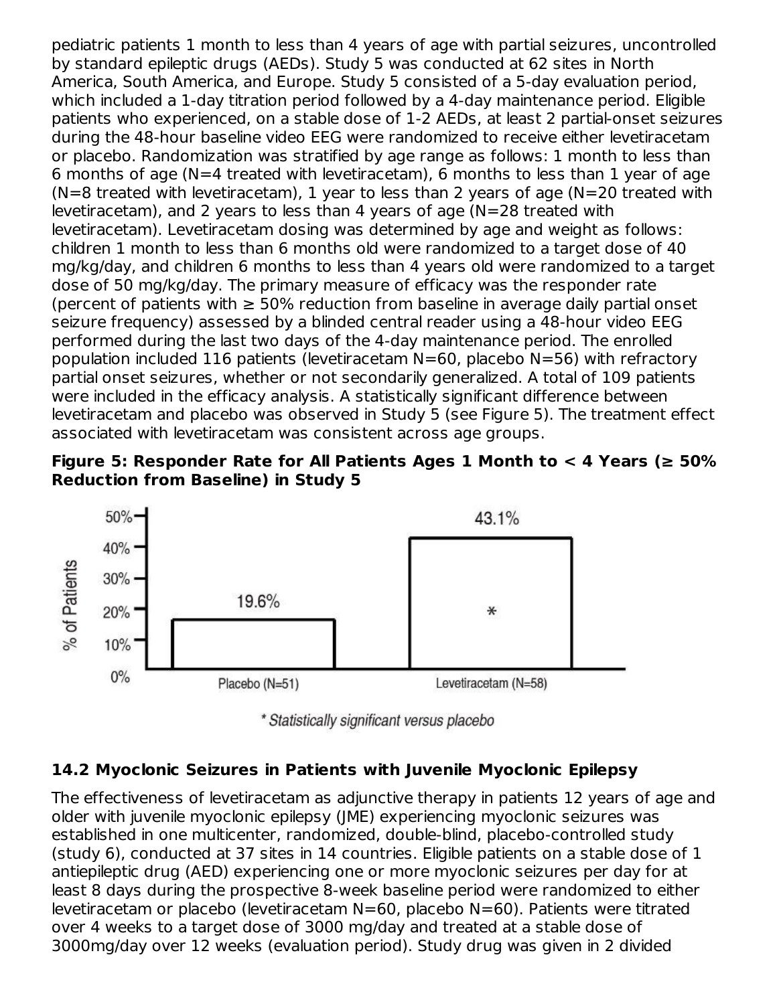pediatric patients 1 month to less than 4 years of age with partial seizures, uncontrolled by standard epileptic drugs (AEDs). Study 5 was conducted at 62 sites in North America, South America, and Europe. Study 5 consisted of a 5-day evaluation period, which included a 1-day titration period followed by a 4-day maintenance period. Eligible patients who experienced, on a stable dose of 1-2 AEDs, at least 2 partial-onset seizures during the 48-hour baseline video EEG were randomized to receive either levetiracetam or placebo. Randomization was stratified by age range as follows: 1 month to less than 6 months of age (N=4 treated with levetiracetam), 6 months to less than 1 year of age  $(N=8$  treated with levetiracetam), 1 year to less than 2 years of age  $(N=20$  treated with levetiracetam), and 2 years to less than 4 years of age (N=28 treated with levetiracetam). Levetiracetam dosing was determined by age and weight as follows: children 1 month to less than 6 months old were randomized to a target dose of 40 mg/kg/day, and children 6 months to less than 4 years old were randomized to a target dose of 50 mg/kg/day. The primary measure of efficacy was the responder rate (percent of patients with  $\geq 50\%$  reduction from baseline in average daily partial onset seizure frequency) assessed by a blinded central reader using a 48-hour video EEG performed during the last two days of the 4-day maintenance period. The enrolled population included 116 patients (levetiracetam N=60, placebo N=56) with refractory partial onset seizures, whether or not secondarily generalized. A total of 109 patients were included in the efficacy analysis. A statistically significant difference between levetiracetam and placebo was observed in Study 5 (see Figure 5). The treatment effect associated with levetiracetam was consistent across age groups.





\* Statistically significant versus placebo

#### **14.2 Myoclonic Seizures in Patients with Juvenile Myoclonic Epilepsy**

The effectiveness of levetiracetam as adjunctive therapy in patients 12 years of age and older with juvenile myoclonic epilepsy (JME) experiencing myoclonic seizures was established in one multicenter, randomized, double-blind, placebo-controlled study (study 6), conducted at 37 sites in 14 countries. Eligible patients on a stable dose of 1 antiepileptic drug (AED) experiencing one or more myoclonic seizures per day for at least 8 days during the prospective 8-week baseline period were randomized to either levetiracetam or placebo (levetiracetam N=60, placebo N=60). Patients were titrated over 4 weeks to a target dose of 3000 mg/day and treated at a stable dose of 3000mg/day over 12 weeks (evaluation period). Study drug was given in 2 divided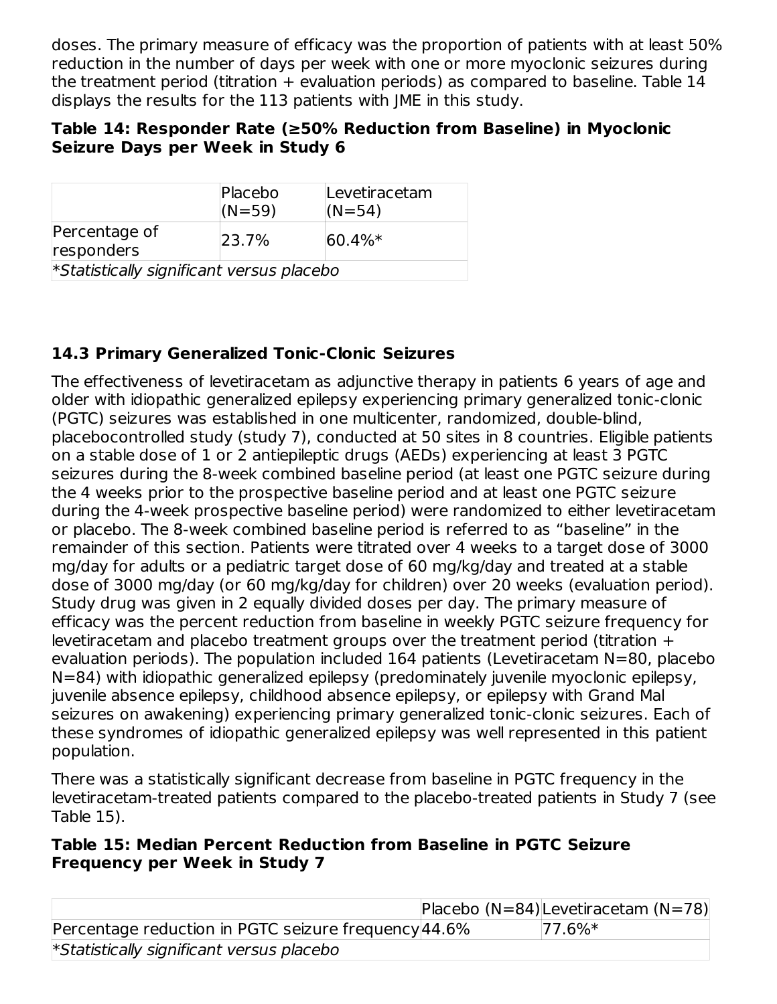doses. The primary measure of efficacy was the proportion of patients with at least 50% reduction in the number of days per week with one or more myoclonic seizures during the treatment period (titration + evaluation periods) as compared to baseline. Table 14 displays the results for the 113 patients with JME in this study.

### **Table 14: Responder Rate (≥50% Reduction from Baseline) in Myoclonic Seizure Days per Week in Study 6**

|                                           | Placebo<br>$(N = 59)$ | Levetiracetam<br>$(N=54)$ |  |
|-------------------------------------------|-----------------------|---------------------------|--|
| Percentage of<br>responders               | 23.7%                 | $ 60.4\%*$                |  |
| *Statistically significant versus placebo |                       |                           |  |

## **14.3 Primary Generalized Tonic-Clonic Seizures**

The effectiveness of levetiracetam as adjunctive therapy in patients 6 years of age and older with idiopathic generalized epilepsy experiencing primary generalized tonic-clonic (PGTC) seizures was established in one multicenter, randomized, double-blind, placebocontrolled study (study 7), conducted at 50 sites in 8 countries. Eligible patients on a stable dose of 1 or 2 antiepileptic drugs (AEDs) experiencing at least 3 PGTC seizures during the 8-week combined baseline period (at least one PGTC seizure during the 4 weeks prior to the prospective baseline period and at least one PGTC seizure during the 4-week prospective baseline period) were randomized to either levetiracetam or placebo. The 8-week combined baseline period is referred to as "baseline" in the remainder of this section. Patients were titrated over 4 weeks to a target dose of 3000 mg/day for adults or a pediatric target dose of 60 mg/kg/day and treated at a stable dose of 3000 mg/day (or 60 mg/kg/day for children) over 20 weeks (evaluation period). Study drug was given in 2 equally divided doses per day. The primary measure of efficacy was the percent reduction from baseline in weekly PGTC seizure frequency for levetiracetam and placebo treatment groups over the treatment period (titration + evaluation periods). The population included 164 patients (Levetiracetam N=80, placebo N=84) with idiopathic generalized epilepsy (predominately juvenile myoclonic epilepsy, juvenile absence epilepsy, childhood absence epilepsy, or epilepsy with Grand Mal seizures on awakening) experiencing primary generalized tonic-clonic seizures. Each of these syndromes of idiopathic generalized epilepsy was well represented in this patient population.

There was a statistically significant decrease from baseline in PGTC frequency in the levetiracetam-treated patients compared to the placebo-treated patients in Study 7 (see Table 15).

### **Table 15: Median Percent Reduction from Baseline in PGTC Seizure Frequency per Week in Study 7**

|                                                      | Placebo (N=84) Levetiracetam (N=78) |
|------------------------------------------------------|-------------------------------------|
| Percentage reduction in PGTC seizure frequency 44.6% | $ 77.6\%*$                          |
| *Statistically significant versus placebo            |                                     |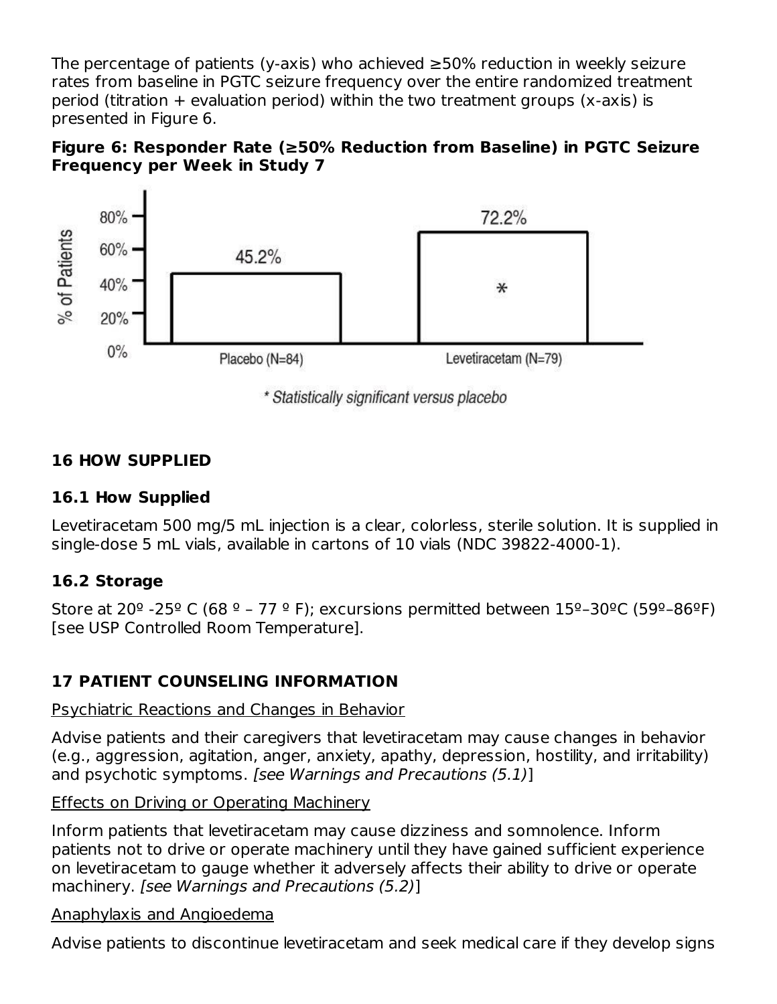The percentage of patients (y-axis) who achieved ≥50% reduction in weekly seizure rates from baseline in PGTC seizure frequency over the entire randomized treatment period (titration  $+$  evaluation period) within the two treatment groups (x-axis) is presented in Figure 6.





\* Statistically significant versus placebo

### **16 HOW SUPPLIED**

#### **16.1 How Supplied**

Levetiracetam 500 mg/5 mL injection is a clear, colorless, sterile solution. It is supplied in single-dose 5 mL vials, available in cartons of 10 vials (NDC 39822-4000-1).

#### **16.2 Storage**

Store at 20<sup>o</sup> -25<sup>o</sup> C (68<sup>o</sup> – 77<sup>o</sup> F); excursions permitted between 15<sup>o</sup>-30<sup>o</sup>C (59<sup>o</sup>-86<sup>o</sup>F) [see USP Controlled Room Temperature].

### **17 PATIENT COUNSELING INFORMATION**

#### Psychiatric Reactions and Changes in Behavior

Advise patients and their caregivers that levetiracetam may cause changes in behavior (e.g., aggression, agitation, anger, anxiety, apathy, depression, hostility, and irritability) and psychotic symptoms. [see Warnings and Precautions (5.1)]

#### Effects on Driving or Operating Machinery

Inform patients that levetiracetam may cause dizziness and somnolence. Inform patients not to drive or operate machinery until they have gained sufficient experience on levetiracetam to gauge whether it adversely affects their ability to drive or operate machinery. [see Warnings and Precautions (5.2)]

#### Anaphylaxis and Angioedema

Advise patients to discontinue levetiracetam and seek medical care if they develop signs